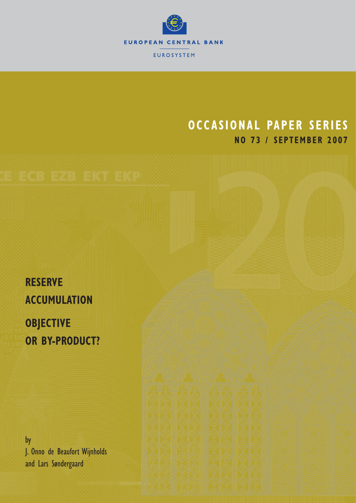

# **OCCASIONAL PAPER SERIES NO 73 / SEPTEMBER 2007**

**RESERVE ACCUMULATION OBJECTIVE OR BY-PRODUCT?**

by J. Onno de Beaufort Wijnholds and Lars Søndergaard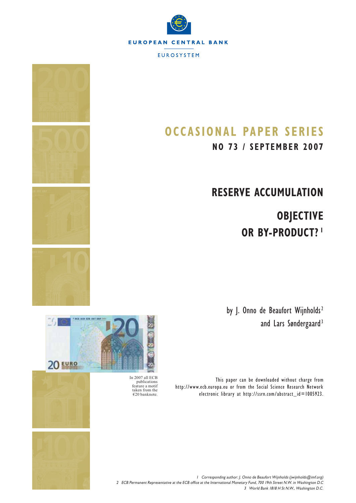



**NO 73 / SEPTEMBER 2007**

# **RESERVE ACCUMULATION**

 **OBJECTIVE OR BY-PRODUCT? 1**

by J. Onno de Beaufort Wijnholds<sup>2</sup> and Lars Søndergaard<sup>3</sup>

This paper can be downloaded without charge from http://www.ecb.europa.eu or from the Social Science Research Network electronic library at http://ssrn.com/abstract\_id=1005923.





In 2007 all ECB publications feature a motif taken from the €20 banknote.

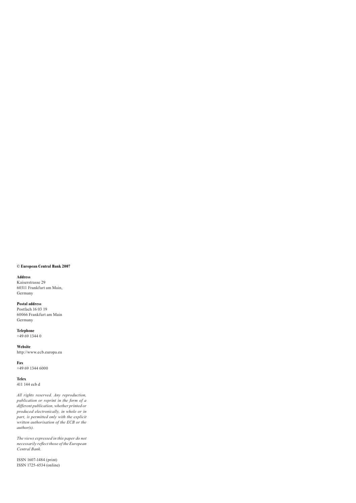#### **© European Central Bank 2007**

#### **Address**

Kaiserstrasse 29 60311 Frankfurt am Main, Germany

#### **Postal address**

Postfach 16 03 19 60066 Frankfurt am Main Germany

**Telephone**  +49 69 1344 0

**Website**  http://www.ecb.europa.eu

**Fax**  +49 69 1344 6000

**Telex**  411 144 ecb d

*All rights reserved. Any reproduction, publication or reprint in the form of a different publication, whether printed or produced electronically, in whole or in part, is permitted only with the explicit written authorisation of the ECB or the author(s).* 

*The views expressed in this paper do not necessarily reflect those of the European Central Bank.*

ISSN 1607-1484 (print) ISSN 1725-6534 (online)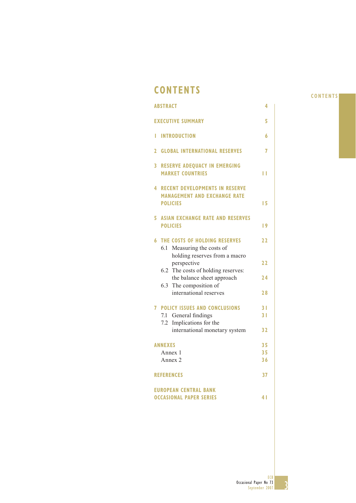## **CONTENTS**

|              | <b>ABSTRACT</b>                                                                                 | 4                                |
|--------------|-------------------------------------------------------------------------------------------------|----------------------------------|
|              | <b>EXECUTIVE SUMMARY</b>                                                                        | 5                                |
| Ľ            | <b>INTRODUCTION</b>                                                                             | 6                                |
| $\mathbf{2}$ | <b>GLOBAL INTERNATIONAL RESERVES</b>                                                            | 7                                |
| 3            | <b>RESERVE ADEQUACY IN EMERGING</b><br><b>MARKET COUNTRIES</b>                                  | П                                |
| 4            | <b>RECENT DEVELOPMENTS IN RESERVE</b><br><b>MANAGEMENT AND EXCHANGE RATE</b><br><b>POLICIES</b> | 15                               |
| 5            | <b>ASIAN EXCHANGE RATE AND RESERVES</b><br><b>POLICIES</b>                                      | $\overline{19}$                  |
| 6            | THE COSTS OF HOLDING RESERVES<br>Measuring the costs of<br>6.1                                  | 22                               |
|              | holding reserves from a macro<br>perspective                                                    | 22                               |
|              | 6.2 The costs of holding reserves:<br>the balance sheet approach<br>6.3 The composition of      | 24                               |
|              | international reserves                                                                          | 28                               |
|              | <b>7 POLICY ISSUES AND CONCLUSIONS</b><br>7.1 General findings<br>Implications for the<br>7.2   | 3 <sub>1</sub><br>3 <sub>1</sub> |
|              | international monetary system                                                                   | 32                               |
|              | <b>ANNEXES</b>                                                                                  | 35                               |
|              | Annex 1                                                                                         | 35                               |
|              | Annex 2                                                                                         | 36                               |
|              | <b>REFERENCES</b>                                                                               | 37                               |
|              | <b>EUROPEAN CENTRAL BANK</b>                                                                    |                                  |
|              | <b>OCCASIONAL PAPER SERIES</b>                                                                  | 41                               |

### **CONTENTS**

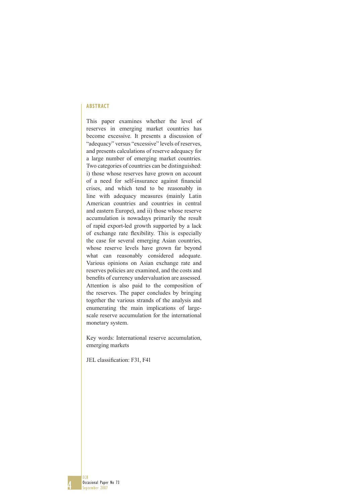#### **ABSTRACT**

This paper examines whether the level of reserves in emerging market countries has become excessive. It presents a discussion of "adequacy" versus "excessive" levels of reserves, and presents calculations of reserve adequacy for a large number of emerging market countries. Two categories of countries can be distinguished: i) those whose reserves have grown on account of a need for self-insurance against financial crises, and which tend to be reasonably in line with adequacy measures (mainly Latin American countries and countries in central and eastern Europe), and ii) those whose reserve accumulation is nowadays primarily the result of rapid export-led growth supported by a lack of exchange rate flexibility. This is especially the case for several emerging Asian countries, whose reserve levels have grown far beyond what can reasonably considered adequate. Various opinions on Asian exchange rate and reserves policies are examined, and the costs and benefits of currency undervaluation are assessed. Attention is also paid to the composition of the reserves. The paper concludes by bringing together the various strands of the analysis and enumerating the main implications of largescale reserve accumulation for the international monetary system.

Key words: International reserve accumulation, emerging markets

JEL classification: F31, F41

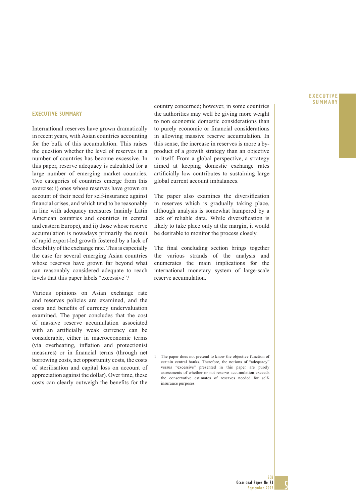#### **EXECUTIVE SUMMARY**

#### **EXECUTIVE SUMMARY**

International reserves have grown dramatically in recent years, with Asian countries accounting for the bulk of this accumulation. This raises the question whether the level of reserves in a number of countries has become excessive. In this paper, reserve adequacy is calculated for a large number of emerging market countries. Two categories of countries emerge from this exercise: i) ones whose reserves have grown on account of their need for self-insurance against financial crises, and which tend to be reasonably in line with adequacy measures (mainly Latin American countries and countries in central and eastern Europe), and ii) those whose reserve accumulation is nowadays primarily the result of rapid export-led growth fostered by a lack of flexibility of the exchange rate. This is especially the case for several emerging Asian countries whose reserves have grown far beyond what can reasonably considered adequate to reach levels that this paper labels "excessive".1

Various opinions on Asian exchange rate and reserves policies are examined, and the costs and benefits of currency undervaluation examined. The paper concludes that the cost of massive reserve accumulation associated with an artificially weak currency can be considerable, either in macroeconomic terms (via overheating, inflation and protectionist measures) or in financial terms (through net borrowing costs, net opportunity costs, the costs of sterilisation and capital loss on account of appreciation against the dollar). Over time, these costs can clearly outweigh the benefits for the country concerned; however, in some countries the authorities may well be giving more weight to non economic domestic considerations than to purely economic or financial considerations in allowing massive reserve accumulation. In this sense, the increase in reserves is more a byproduct of a growth strategy than an objective in itself. From a global perspective, a strategy aimed at keeping domestic exchange rates artificially low contributes to sustaining large global current account imbalances.

The paper also examines the diversification in reserves which is gradually taking place, although analysis is somewhat hampered by a lack of reliable data. While diversification is likely to take place only at the margin, it would be desirable to monitor the process closely.

The final concluding section brings together the various strands of the analysis and enumerates the main implications for the international monetary system of large-scale reserve accumulation.

1 The paper does not pretend to know the objective function of certain central banks. Therefore, the notions of "adequacy" versus "excessive" presented in this paper are purely assessments of whether or not reserve accumulation exceeds the conservative estimates of reserves needed for selfinsurance purposes.

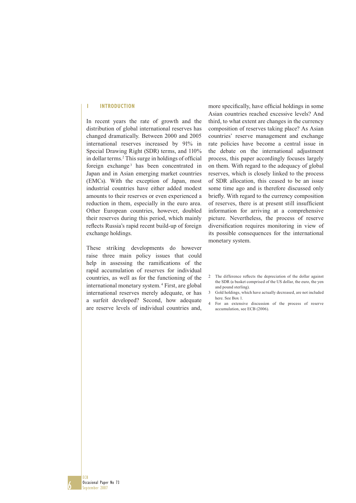#### **1 INTRODUCTION**

In recent years the rate of growth and the distribution of global international reserves has changed dramatically. Between 2000 and 2005 international reserves increased by 91% in Special Drawing Right (SDR) terms, and 110% in dollar terms.<sup>2</sup> This surge in holdings of official foreign exchange<sup>3</sup> has been concentrated in Japan and in Asian emerging market countries (EMCs). With the exception of Japan, most industrial countries have either added modest amounts to their reserves or even experienced a reduction in them, especially in the euro area. Other European countries, however, doubled their reserves during this period, which mainly reflects Russia's rapid recent build-up of foreign exchange holdings.

These striking developments do however raise three main policy issues that could help in assessing the ramifications of the rapid accumulation of reserves for individual countries, as well as for the functioning of the international monetary system. 4 First, are global international reserves merely adequate, or has a surfeit developed? Second, how adequate are reserve levels of individual countries and,

more specifically, have official holdings in some Asian countries reached excessive levels? And third, to what extent are changes in the currency composition of reserves taking place? As Asian countries' reserve management and exchange rate policies have become a central issue in the debate on the international adjustment process, this paper accordingly focuses largely on them. With regard to the adequacy of global reserves, which is closely linked to the process of SDR allocation, this ceased to be an issue some time ago and is therefore discussed only briefly. With regard to the currency composition of reserves, there is at present still insufficient information for arriving at a comprehensive picture. Nevertheless, the process of reserve diversification requires monitoring in view of its possible consequences for the international monetary system.

- 2 The difference reflects the depreciation of the dollar against the SDR (a basket comprised of the US dollar, the euro, the yen and pound sterling).
- 3 Gold holdings, which have actually decreased, are not included here. See Box 1.
- 4 For an extensive discussion of the process of reserve accumulation, see ECB (2006).

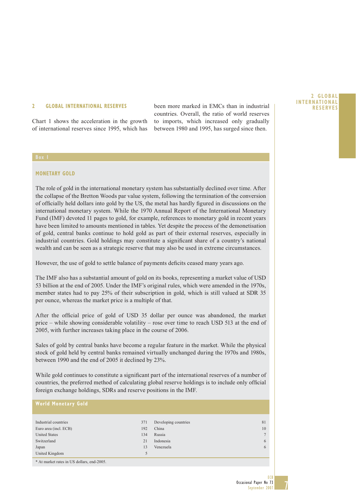Chart 1 shows the acceleration in the growth of international reserves since 1995, which has

**2 GLOBAL INTERNATIONAL RESERVES** been more marked in EMCs than in industrial **RESERVES** countries. Overall, the ratio of world reserves to imports, which increased only gradually between 1980 and 1995, has surged since then.

### **MONETARY GOLD**

The role of gold in the international monetary system has substantially declined over time. After the collapse of the Bretton Woods par value system, following the termination of the conversion of officially held dollars into gold by the US, the metal has hardly figured in discussions on the international monetary system. While the 1970 Annual Report of the International Monetary Fund (IMF) devoted 11 pages to gold, for example, references to monetary gold in recent years have been limited to amounts mentioned in tables. Yet despite the process of the demonetisation of gold, central banks continue to hold gold as part of their external reserves, especially in industrial countries. Gold holdings may constitute a significant share of a country's national wealth and can be seen as a strategic reserve that may also be used in extreme circumstances.

However, the use of gold to settle balance of payments deficits ceased many years ago.

The IMF also has a substantial amount of gold on its books, representing a market value of USD 53 billion at the end of 2005. Under the IMF's original rules, which were amended in the 1970s, member states had to pay 25% of their subscription in gold, which is still valued at SDR 35 per ounce, whereas the market price is a multiple of that.

After the official price of gold of USD 35 dollar per ounce was abandoned, the market price – while showing considerable volatility – rose over time to reach USD 513 at the end of 2005, with further increases taking place in the course of 2006.

Sales of gold by central banks have become a regular feature in the market. While the physical stock of gold held by central banks remained virtually unchanged during the 1970s and 1980s, between 1990 and the end of 2005 it declined by 23%.

While gold continues to constitute a significant part of the international reserves of a number of countries, the preferred method of calculating global reserve holdings is to include only official foreign exchange holdings, SDRs and reserve positions in the IMF.

#### **World Monetary Gold**

| Industrial countries  | 371 | Developing countries | 81     |
|-----------------------|-----|----------------------|--------|
| Euro area (incl. ECB) | 192 | China                | 10     |
| <b>United States</b>  | 134 | Russia               | $\tau$ |
| Switzerland           | 21  | Indonesia            | 6      |
| Japan                 | 13  | Venezuela            | 6      |
| United Kingdom        |     |                      |        |

\* At market rates in US dollars, end-2005.

**2GLOBAL** 

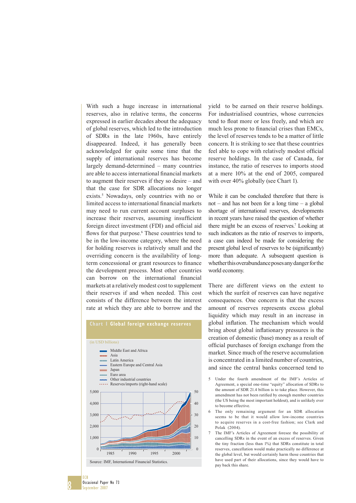With such a huge increase in international reserves, also in relative terms, the concerns expressed in earlier decades about the adequacy of global reserves, which led to the introduction of SDRs in the late 1960s, have entirely disappeared. Indeed, it has generally been acknowledged for quite some time that the supply of international reserves has become largely demand-determined – many countries are able to access international financial markets to augment their reserves if they so desire – and that the case for SDR allocations no longer exists.5 Nowadays, only countries with no or limited access to international financial markets may need to run current account surpluses to increase their reserves, assuming insufficient foreign direct investment (FDI) and official aid flows for that purpose.<sup>6</sup> These countries tend to be in the low-income category, where the need for holding reserves is relatively small and the overriding concern is the availability of longterm concessional or grant resources to finance the development process. Most other countries can borrow on the international financial markets at a relatively modest cost to supplement their reserves if and when needed. This cost consists of the difference between the interest rate at which they are able to borrow and the



yield to be earned on their reserve holdings. For industrialised countries, whose currencies tend to float more or less freely, and which are much less prone to financial crises than EMCs, the level of reserves tends to be a matter of little concern. It is striking to see that these countries feel able to cope with relatively modest official reserve holdings. In the case of Canada, for instance, the ratio of reserves to imports stood at a mere 10% at the end of 2005, compared with over 40% globally (see Chart 1).

While it can be concluded therefore that there is not – and has not been for a long time – a global shortage of international reserves, developments in recent years have raised the question of whether there might be an excess of reserves.<sup>7</sup> Looking at such indicators as the ratio of reserves to imports, a case can indeed be made for considering the present global level of reserves to be (significantly) more than adequate. A subsequent question is whether this overabundance poses any danger for the world economy.

There are different views on the extent to which the surfeit of reserves can have negative consequences. One concern is that the excess amount of reserves represents excess global liquidity which may result in an increase in global inflation. The mechanism which would bring about global inflationary pressures is the creation of domestic (base) money as a result of official purchases of foreign exchange from the market. Since much of the reserve accumulation is concentrated in a limited number of countries, and since the central banks concerned tend to

- 6 The only remaining argument for an SDR allocation seems to be that it would allow low-income countries to acquire reserves in a cost-free fashion; see Clark and Polak (2004).
- 7 The IMF's Articles of Agreement foresee the possibility of cancelling SDRs in the event of an excess of reserves. Given the tiny fraction (less than 1%) that SDRs constitute in total reserves, cancellation would make practically no difference at the global level, but would certainly harm those countries that have used part of their allocations, since they would have to pay back this share.

8

<sup>5</sup> Under the fourth amendment of the IMF's Articles of Agreement, a special one-time "equity" allocation of SDRs to the amount of SDR 21.4 billion is to take place. However, this amendment has not been ratified by enough member countries (the US being the most important holdout), and is unlikely ever to become effective.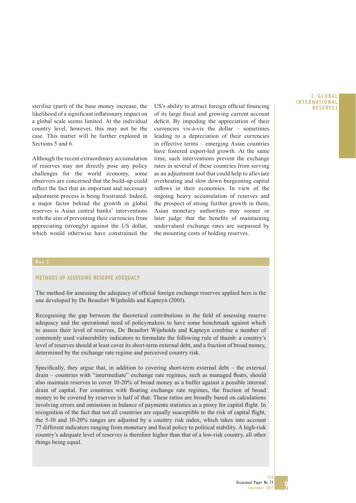likelihood of a significant inflationary impact on a global scale seems limited. At the individual country level, however, this may not be the case. This matter will be further explored in Sections 5 and 6.

Although the recent extraordinary accumulation of reserves may not directly pose any policy challenges for the world economy, some observers are concerned that the build-up could reflect the fact that an important and necessary adjustment process is being frustrated. Indeed, a major factor behind the growth in global reserves is Asian central banks' interventions with the aim of preventing their currencies from appreciating (strongly) against the US dollar, which would otherwise have constrained the

sterilise (part) of the base money increase, the US's ability to attract foreign official financing **RESERVES** of its large fiscal and growing current account deficit. By impeding the appreciation of their currencies vis-à-vis the dollar – sometimes leading to a depreciation of their currencies in effective terms – emerging Asian countries have fostered export-led growth. At the same time, such interventions prevent the exchange rates in several of these countries from serving as an adjustment tool that could help to alleviate overheating and slow down burgeoning capital inflows in their economies. In view of the ongoing heavy accumulation of reserves and the prospect of strong further growth in them, Asian monetary authorities may sooner or later judge that the benefits of maintaining undervalued exchange rates are surpassed by the mounting costs of holding reserves.

#### **METHODS OF ASSESSING RESERVE ADEQUACY**

The method for assessing the adequacy of official foreign exchange reserves applied here is the one developed by De Beaufort Wijnholds and Kapteyn (2001).

Recognising the gap between the theoretical contributions in the field of assessing reserve adequacy and the operational need of policymakers to have some benchmark against which to assess their level of reserves, De Beaufort Wijnholds and Kapteyn combine a number of commonly used vulnerability indicators to formulate the following rule of thumb: a country's level of reserves should at least cover its short-term external debt, and a fraction of broad money, determined by the exchange rate regime and perceived country risk.

Specifically, they argue that, in addition to covering short-term external debt – the external drain – countries with "intermediate" exchange rate regimes, such as managed floats, should also maintain reserves to cover 10-20% of broad money as a buffer against a possible internal drain of capital. For countries with floating exchange rate regimes, the fraction of broad money to be covered by reserves is half of that. These ratios are broadly based on calculations involving errors and omissions in balance of payments statistics as a proxy for capital flight. In recognition of the fact that not all countries are equally susceptible to the risk of capital flight, the 5-10 and 10-20% ranges are adjusted by a country risk index, which takes into account 77 different indicators ranging from monetary and fiscal policy to political stability. A high-risk country's adequate level of reserves is therefore higher than that of a low-risk country, all other things being equal.

### **2GLOBAL INTERNATIONAL**

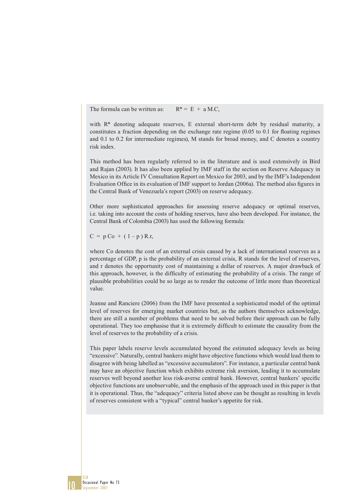The formula can be written as:  $R^* = E + a MC$ .

with R\* denoting adequate reserves, E external short-term debt by residual maturity, a constitutes a fraction depending on the exchange rate regime  $(0.05 \text{ to } 0.1 \text{ for floating regimes})$ and 0.1 to 0.2 for intermediate regimes), M stands for broad money, and C denotes a country risk index.

This method has been regularly referred to in the literature and is used extensively in Bird and Rajan (2003). It has also been applied by IMF staff in the section on Reserve Adequacy in Mexico in its Article IV Consultation Report on Mexico for 2003, and by the IMF's Independent Evaluation Office in its evaluation of IMF support to Jordan (2006a). The method also figures in the Central Bank of Venezuela's report (2003) on reserve adequacy.

Other more sophisticated approaches for assessing reserve adequacy or optimal reserves, i.e. taking into account the costs of holding reserves, have also been developed. For instance, the Central Bank of Colombia (2003) has used the following formula:

 $C = p \cdot C_0 + (1-p) \cdot R$ .r.

where Co denotes the cost of an external crisis caused by a lack of international reserves as a percentage of GDP, p is the probability of an external crisis, R stands for the level of reserves, and r denotes the opportunity cost of maintaining a dollar of reserves. A major drawback of this approach, however, is the difficulty of estimating the probability of a crisis. The range of plausible probabilities could be so large as to render the outcome of little more than theoretical value.

Jeanne and Ranciere (2006) from the IMF have presented a sophisticated model of the optimal level of reserves for emerging market countries but, as the authors themselves acknowledge, there are still a number of problems that need to be solved before their approach can be fully operational. They too emphasise that it is extremely difficult to estimate the causality from the level of reserves to the probability of a crisis.

This paper labels reserve levels accumulated beyond the estimated adequacy levels as being "excessive". Naturally, central bankers might have objective functions which would lead them to disagree with being labelled as "excessive accumulators". For instance, a particular central bank may have an objective function which exhibits extreme risk aversion, leading it to accumulate reserves well beyond another less risk-averse central bank. However, central bankers' specific objective functions are unobservable, and the emphasis of the approach used in this paper is that it is operational. Thus, the "adequacy" criteria listed above can be thought as resulting in levels of reserves consistent with a "typical" central banker's appetite for risk.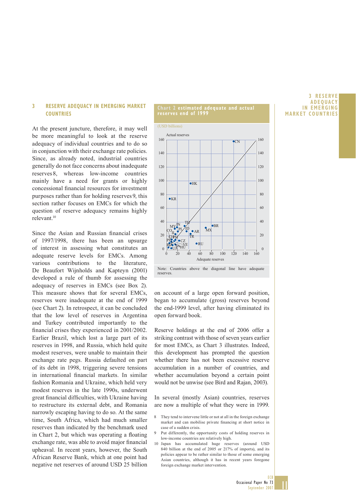#### **3 RESERVE ADEQUACY IN EMERGING MARKET COUNTRIES**

At the present juncture, therefore, it may well be more meaningful to look at the reserve adequacy of individual countries and to do so in conjunction with their exchange rate policies. Since, as already noted, industrial countries generally do not face concerns about inadequate reserves 8, whereas low-income countries mainly have a need for grants or highly concessional financial resources for investment purposes rather than for holding reserves 9, this section rather focuses on EMCs for which the question of reserve adequacy remains highly relevant.10

Since the Asian and Russian financial crises of 1997/1998, there has been an upsurge of interest in assessing what constitutes an adequate reserve levels for EMCs. Among various contributions to the literature, De Beaufort Wijnholds and Kapteyn (2001) developed a rule of thumb for assessing the adequacy of reserves in EMCs (see Box 2). This measure shows that for several EMCs, reserves were inadequate at the end of 1999 (see Chart 2). In retrospect, it can be concluded that the low level of reserves in Argentina and Turkey contributed importantly to the financial crises they experienced in 2001/2002. Earlier Brazil, which lost a large part of its reserves in 1998, and Russia, which held quite modest reserves, were unable to maintain their exchange rate pegs. Russia defaulted on part of its debt in 1998, triggering severe tensions in international financial markets. In similar fashion Romania and Ukraine, which held very modest reserves in the late 1990s, underwent great financial difficulties, with Ukraine having to restructure its external debt, and Romania narrowly escaping having to do so. At the same time, South Africa, which had much smaller reserves than indicated by the benchmark used in Chart 2, but which was operating a floating exchange rate, was able to avoid major financial upheaval. In recent years, however, the South African Reserve Bank, which at one point had negative net reserves of around USD 25 billion

#### **Chart 2 estimated adequate and actual reserves end of 1999**

(USD billions)



on account of a large open forward position, began to accumulate (gross) reserves beyond the end-1999 level, after having eliminated its open forward book.

Reserve holdings at the end of 2006 offer a striking contrast with those of seven years earlier for most EMCs, as Chart 3 illustrates. Indeed, this development has prompted the question whether there has not been excessive reserve accumulation in a number of countries, and whether accumulation beyond a certain point would not be unwise (see Bird and Rajan, 2003).

In several (mostly Asian) countries, reserves are now a multiple of what they were in 1999.

- 8 They tend to intervene little or not at all in the foreign exchange market and can mobilise private financing at short notice in case of a sudden crisis.
- Put differently, the opportunity costs of holding reserves in low-income countries are relatively high.
- 10 Japan has accumulated huge reserves (around USD 840 billion at the end of 2005 or 217% of imports), and its policies appear to be rather similar to those of some emerging Asian countries, although it has in recent years foregone foreign exchange market intervention.

#### **3RESERVE ADEQUACY IN EMERGING MARKET COUNTRIES**

 $\mathbf{||}$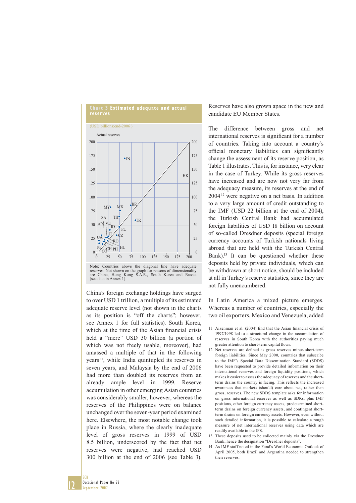

Note: Countries above the diagonal line have adequate reserves. Not shown on the graph for reasons of dimensionality are China, Hong Kong S.A.R., South Korea and Russia (see data in Annex 1).

China's foreign exchange holdings have surged to over USD 1 trillion, a multiple of its estimated adequate reserve level (not shown in the charts as its position is "off the charts"; however, see Annex 1 for full statistics). South Korea, which at the time of the Asian financial crisis held a "mere" USD 30 billion (a portion of which was not freely usable, moreover), had amassed a multiple of that in the following years 11, while India quintupled its reserves in seven years, and Malaysia by the end of 2006 had more than doubled its reserves from an already ample level in 1999. Reserve accumulation in other emerging Asian countries was considerably smaller, however, whereas the reserves of the Philippines were on balance unchanged over the seven-year period examined here. Elsewhere, the most notable change took place in Russia, where the clearly inadequate level of gross reserves in 1999 of USD 8.5 billion, underscored by the fact that net reserves were negative, had reached USD 300 billion at the end of 2006 (see Table 3).

Reserves have also grown apace in the new and candidate EU Member States.

The difference between gross and net international reserves is significant for a number of countries. Taking into account a country's official monetary liabilities can significantly change the assessment of its reserve position, as Table 1 illustrates. This is, for instance, very clear in the case of Turkey. While its gross reserves have increased and are now not very far from the adequacy measure, its reserves at the end of 2004 12 were negative on a net basis. In addition to a very large amount of credit outstanding to the IMF (USD 22 billion at the end of 2004), the Turkish Central Bank had accumulated foreign liabilities of USD 18 billion on account of so-called Dresdner deposits (special foreign currency accounts of Turkish nationals living abroad that are held with the Turkish Central Bank).13 It can be questioned whether these deposits held by private individuals, which can be withdrawn at short notice, should be included at all in Turkey's reserve statistics, since they are not fully unencumbered.

In Latin America a mixed picture emerges. Whereas a number of countries, especially the two oil exporters, Mexico and Venezuela, added

- 11 Aizenman et al. (2004) find that the Asian financial crisis of 1997/1998 led to a structural change in the accumulation of reserves in South Korea with the authorities paying much greater attention to short-term capital flows.
- 12 Net reserves are defined as gross reserves minus short-term foreign liabilities. Since May 2000, countries that subscribe to the IMF's Special Data Dissemination Standard (SDDS) have been requested to provide detailed information on their international reserves and foreign liquidity positions, which makes it easier to assess the adequacy of reserves and the shortterm drains the country is facing. This reflects the increased awareness that markets (should) care about net, rather than gross, reserves. The new SDDS template asks for information on gross international reserves as well as SDRs, plus IMF positions, other foreign currency assets, predetermined shortterm drains on foreign currency assets, and contingent shortterm drains on foreign currency assets. However, even without such detailed information, it is possible to calculate a rough measure of net international reserves using data which are readily available in the IFS.
- 13 These deposits used to be collected mainly via the Dresdner Bank, hence the designation "Dresdner deposits".
- 14 As IMF staff noted in the Fund's World Economic Outlook of April 2005, both Brazil and Argentina needed to strengthen their reserves.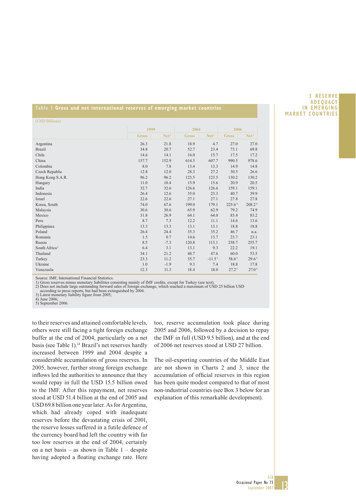#### **Table 1 Gross and net international reserves of emerging market countries**

| (USD Billions)            |              |                  |              |                  |                    |                    |
|---------------------------|--------------|------------------|--------------|------------------|--------------------|--------------------|
|                           | 1999         |                  | 2004         |                  | 2006               |                    |
|                           | <b>Gross</b> | Net <sup>1</sup> | <b>Gross</b> | Net <sup>1</sup> | <b>Gross</b>       | Net <sup>1</sup>   |
| Argentina                 | 26.3         | 21.8             | 18.9         | 4.7              | 27.0               | 27.0               |
| <b>Brazil</b>             | 34.8         | 20.7             | 52.7         | 23.4             | 73.1               | 69.8               |
| Chile                     | 14.6         | 14.1             | 16.0         | 15.7             | 17.5               | 17.2               |
| China                     | 157.7        | 152.9            | 614.5        | 607.7            | 990.5              | 978.6              |
| Colombia                  | 8.0          | 7.8              | 13.4         | 13.3             | 14.9               | 14.8               |
| Czech Republic            | 12.8         | 12.0             | 28.3         | 27.2             | 30.5               | 26.6               |
| Hong Kong S.A.R.          | 96.2         | 96.2             | 123.5        | 123.5            | 130.2              | 130.2              |
| Hungary                   | 11.0         | 10.4             | 15.9         | 15.6             | 20.9               | 20.5               |
| India                     | 32.7         | 32.6             | 126.6        | 126.6            | 159.1              | 159.1              |
| Indonesia                 | 26.4         | 12.6             | 35.0         | 23.3             | 40.7               | 39.9               |
| Israel                    | 22.6         | 22.6             | 27.1         | 27.1             | 27.8               | 27.8               |
| Korea, South              | 74.0         | 67.6             | 199.0        | 179.1            | 225.6 <sup>4</sup> | 208.2 <sup>4</sup> |
| Malaysia                  | 30.6         | 30.6             | 65.9         | 62.9             | 79.2               | 74.9               |
| Mexico                    | 31.8         | 26.9             | 64.1         | 64.0             | 83.4               | 83.2               |
| Peru                      | 8.7          | 7.3              | 12.2         | 11.1             | 14.6               | 13.6               |
| Philippines               | 13.3         | 13.3             | 13.1         | 13.1             | 18.8               | 18.8               |
| Poland                    | 26.4         | 24.4             | 35.3         | 35.2             | 46.7               | n.a.               |
| Romania                   | 1.5          | 0.7              | 14.6         | 13.7             | 23.7               | 23.1               |
| Russia                    | 8.5          | $-7.3$           | 120.8        | 113.1            | 258.7              | 255.7              |
| South Africa <sup>2</sup> | 6.4          | 3.1              | 13.1         | 9.3              | 22.2               | 19.1               |
| Thailand                  | 34.1         | 21.2             | 48.7         | 47.6             | 60.0               | 53.5               |
| Turkey                    | 23.3         | 11.2             | 35.7         | $-11.53$         | 58.6 <sup>5</sup>  | 29.6 <sup>5</sup>  |
| Ukraine                   | 1.0          | $-1.9$           | 9.3          | 7.4              | 18.8               | 17.8               |
| Venezuela                 | 12.3         | 11.3             | 18.4         | 18.0             | 27.2 <sup>5</sup>  | 27.0 <sup>5</sup>  |

Source: IMF, International Financial Statistics.

1) Gross reserves minus monetary liabilities consisting mainly of IMF credits, except for Turkey (see text).<br>2) Does not include large outstanding forward sales of foreign exchange, which reached a maximum of USD 25 billio

3) Latest monetary liability figure from 2005;

4) June 2006;

5) September 2006.

to their reserves and attained comfortable levels, others were still facing a tight foreign exchange buffer at the end of 2004, particularly on a net basis (see Table 1).<sup>14</sup> Brazil's net reserves hardly increased between 1999 and 2004 despite a considerable accumulation of gross reserves. In 2005, however, further strong foreign exchange inflows led the authorities to announce that they would repay in full the USD 15.5 billion owed to the IMF. After this repayment, net reserves stood at USD 51.4 billion at the end of 2005 and USD 69.8 billion one year later. As for Argentina, which had already coped with inadequate reserves before the devastating crisis of 2001, the reserve losses suffered in a futile defence of the currency board had left the country with far too low reserves at the end of 2004, certainly on a net basis – as shown in Table 1 – despite having adopted a floating exchange rate. Here

too, reserve accumulation took place during 2005 and 2006, followed by a decision to repay the IMF in full (USD 9.5 billion), and at the end of 2006 net reserves stood at USD 27 billion.

The oil-exporting countries of the Middle East are not shown in Charts 2 and 3, since the accumulation of official reserves in this region has been quite modest compared to that of most non-industrial countries (see Box 3 below for an explanation of this remarkable development).

#### **3RESERVE ADEQUACY IN EMERGING MARKET COUNTRIES**

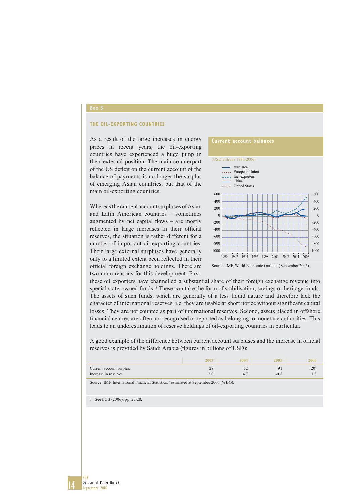#### **THE OIL-EXPORTING COUNTRIES**

As a result of the large increases in energy prices in recent years, the oil-exporting countries have experienced a huge jump in their external position. The main counterpart of the US deficit on the current account of the balance of payments is no longer the surplus of emerging Asian countries, but that of the main oil-exporting countries.

Whereas the current account surpluses of Asian and Latin American countries – sometimes augmented by net capital flows  $-$  are mostly reflected in large increases in their official reserves, the situation is rather different for a number of important oil-exporting countries. Their large external surpluses have generally only to a limited extent been reflected in their official foreign exchange holdings. There are two main reasons for this development. First,



Source: IMF, World Economic Outlook (September 2006).

these oil exporters have channelled a substantial share of their foreign exchange revenue into special state-owned funds.<sup>1)</sup> These can take the form of stabilisation, savings or heritage funds. The assets of such funds, which are generally of a less liquid nature and therefore lack the character of international reserves, i.e. they are usable at short notice without significant capital losses. They are not counted as part of international reserves. Second, assets placed in offshore financial centres are often not recognised or reported as belonging to monetary authorities. This leads to an underestimation of reserve holdings of oil-exporting countries in particular.

A good example of the difference between current account surpluses and the increase in official reserves is provided by Saudi Arabia (figures in billions of USD):

| Current account surplus<br>Increase in reserves | - -<br>т. | $120^\circ$ |
|-------------------------------------------------|-----------|-------------|

Source: IMF, International Financial Statistics. estimated at September 2006 (WEO).

1 See ECB (2006), pp. 27-28.

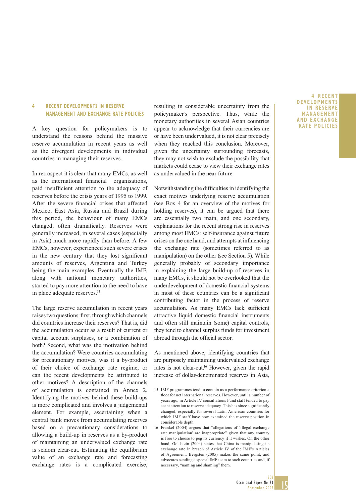#### **4 RECENT DEVELOPMENTS IN RESERVE MANAGEMENT AND EXCHANGE RATE POLICIES**

A key question for policymakers is to understand the reasons behind the massive reserve accumulation in recent years as well as the divergent developments in individual countries in managing their reserves.

In retrospect it is clear that many EMCs, as well as the international financial organisations, paid insufficient attention to the adequacy of reserves before the crisis years of 1995 to 1999. After the severe financial crises that affected Mexico, East Asia, Russia and Brazil during this period, the behaviour of many EMCs changed, often dramatically. Reserves were generally increased, in several cases (especially in Asia) much more rapidly than before. A few EMCs, however, experienced such severe crises in the new century that they lost significant amounts of reserves, Argentina and Turkey being the main examples. Eventually the IMF, along with national monetary authorities, started to pay more attention to the need to have in place adequate reserves.15

The large reserve accumulation in recent years raises two questions: first, through which channels did countries increase their reserves? That is, did the accumulation occur as a result of current or capital account surpluses, or a combination of both? Second, what was the motivation behind the accumulation? Were countries accumulating for precautionary motives, was it a by-product of their choice of exchange rate regime, or can the recent developments be attributed to other motives? A description of the channels of accumulation is contained in Annex 2. Identifying the motives behind these build-ups is more complicated and involves a judgemental element. For example, ascertaining when a central bank moves from accumulating reserves based on a precautionary considerations to allowing a build-up in reserves as a by-product of maintaining an undervalued exchange rate is seldom clear-cut. Estimating the equilibrium value of an exchange rate and forecasting exchange rates is a complicated exercise,

resulting in considerable uncertainty from the policymaker's perspective. Thus, while the monetary authorities in several Asian countries appear to acknowledge that their currencies are or have been undervalued, it is not clear precisely when they reached this conclusion. Moreover, given the uncertainty surrounding forecasts, they may not wish to exclude the possibility that markets could cease to view their exchange rates as undervalued in the near future.

Notwithstanding the difficulties in identifying the exact motives underlying reserve accumulation (see Box 4 for an overview of the motives for holding reserves), it can be argued that there are essentially two main, and one secondary, explanations for the recent strong rise in reserves among most EMCs: self-insurance against future crises on the one hand, and attempts at influencing the exchange rate (sometimes referred to as manipulation) on the other (see Section 5). While generally probably of secondary importance in explaining the large build-up of reserves in many EMCs, it should not be overlooked that the underdevelopment of domestic financial systems in most of these countries can be a significant contributing factor in the process of reserve accumulation. As many EMCs lack sufficient attractive liquid domestic financial instruments and often still maintain (some) capital controls, they tend to channel surplus funds for investment abroad through the official sector.

As mentioned above, identifying countries that are purposely maintaining undervalued exchange rates is not clear-cut.<sup>16</sup> However, given the rapid increase of dollar-denominated reserves in Asia,

#### **4RECENT DEVELOPMENTS IN RESERVE MANAGEMENT AND EXCHANGE RATE POLICIES**

15

<sup>15</sup> IMF programmes tend to contain as a performance criterion a floor for net international reserves. However, until a number of years ago, in Article IV consultations Fund staff tended to pay scant attention to reserve adequacy. This has since significantly changed, especially for several Latin American countries for which IMF staff have now examined the reserve position in considerable depth.

<sup>16</sup> Frankel (2004) argues that "allegations of 'illegal exchange rate manipulation' are inappropriate" given that any country is free to choose to peg its currency if it wishes. On the other hand, Goldstein (2004) states that China is manipulating its exchange rate in breach of Article IV of the IMF's Articles of Agreement. Bergsten (2005) makes the same point, and advocates sending a special IMF team to such countries and, if necessary, "naming and shaming" them.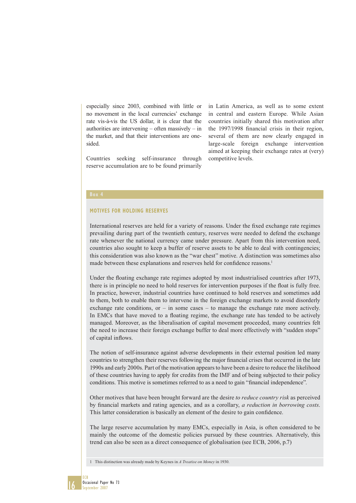especially since 2003, combined with little or no movement in the local currencies' exchange rate vis-à-vis the US dollar, it is clear that the authorities are intervening – often massively – in the market, and that their interventions are onesided.

Countries seeking self-insurance through reserve accumulation are to be found primarily

in Latin America, as well as to some extent in central and eastern Europe. While Asian countries initially shared this motivation after the 1997/1998 financial crisis in their region, several of them are now clearly engaged in large-scale foreign exchange intervention aimed at keeping their exchange rates at (very) competitive levels.

#### **MOTIVES FOR HOLDING RESERVES**

International reserves are held for a variety of reasons. Under the fixed exchange rate regimes prevailing during part of the twentieth century, reserves were needed to defend the exchange rate whenever the national currency came under pressure. Apart from this intervention need, countries also sought to keep a buffer of reserve assets to be able to deal with contingencies; this consideration was also known as the "war chest" motive. A distinction was sometimes also made between these explanations and reserves held for confidence reasons.<sup>1</sup>

Under the floating exchange rate regimes adopted by most industrialised countries after 1973, there is in principle no need to hold reserves for intervention purposes if the float is fully free. In practice, however, industrial countries have continued to hold reserves and sometimes add to them, both to enable them to intervene in the foreign exchange markets to avoid disorderly exchange rate conditions, or  $-$  in some cases  $-$  to manage the exchange rate more actively. In EMCs that have moved to a floating regime, the exchange rate has tended to be actively managed. Moreover, as the liberalisation of capital movement proceeded, many countries felt the need to increase their foreign exchange buffer to deal more effectively with "sudden stops" of capital inflows.

The notion of self-insurance against adverse developments in their external position led many countries to strengthen their reserves following the major financial crises that occurred in the late 1990s and early 2000s. Part of the motivation appears to have been a desire to reduce the likelihood of these countries having to apply for credits from the IMF and of being subjected to their policy conditions. This motive is sometimes referred to as a need to gain "financial independence".

Other motives that have been brought forward are the desire *to reduce country risk* as perceived by financial markets and rating agencies, and as a corollary, *a reduction in borrowing costs*. This latter consideration is basically an element of the desire to gain confidence.

The large reserve accumulation by many EMCs, especially in Asia, is often considered to be mainly the outcome of the domestic policies pursued by these countries. Alternatively, this trend can also be seen as a direct consequence of globalisation (see ECB, 2006, p.7)

1 This distinction was already made by Keynes in *A Treatise on Money* in 1930.

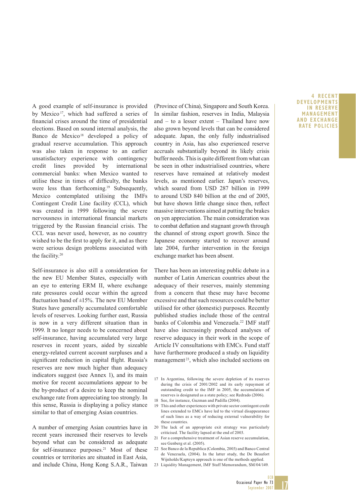A good example of self-insurance is provided by Mexico<sup>17</sup>, which had suffered a series of financial crises around the time of presidential elections. Based on sound internal analysis, the Banco de Mexico<sup>18</sup> developed a policy of gradual reserve accumulation. This approach was also taken in response to an earlier unsatisfactory experience with contingency credit lines provided by international commercial banks: when Mexico wanted to utilise these in times of difficulty, the banks were less than forthcoming.<sup>19</sup> Subsequently, Mexico contemplated utilising the IMFs Contingent Credit Line facility (CCL), which was created in 1999 following the severe nervousness in international financial markets triggered by the Russian financial crisis. The CCL was never used, however, as no country wished to be the first to apply for it, and as there were serious design problems associated with the facility.20

Self-insurance is also still a consideration for the new EU Member States, especially with an eye to entering ERM II, where exchange rate pressures could occur within the agreed fluctuation band of  $\pm 15\%$ . The new EU Member States have generally accumulated comfortable levels of reserves. Looking further east, Russia is now in a very different situation than in 1999. It no longer needs to be concerned about self-insurance, having accumulated very large reserves in recent years, aided by sizeable energy-related current account surpluses and a significant reduction in capital flight. Russia's reserves are now much higher than adequacy indicators suggest (see Annex 1), and its main motive for recent accumulations appear to be the by-product of a desire to keep the nominal exchange rate from appreciating too strongly. In this sense, Russia is displaying a policy stance similar to that of emerging Asian countries.

A number of emerging Asian countries have in recent years increased their reserves to levels beyond what can be considered as adequate for self-insurance purposes.<sup>21</sup> Most of these countries or territories are situated in East Asia, and include China, Hong Kong S.A.R., Taiwan (Province of China), Singapore and South Korea. In similar fashion, reserves in India, Malaysia and – to a lesser extent – Thailand have now also grown beyond levels that can be considered adequate. Japan, the only fully industrialised country in Asia, has also experienced reserve accruals substantially beyond its likely crisis buffer needs. This is quite different from what can be seen in other industrialised countries, where reserves have remained at relatively modest levels, as mentioned earlier. Japan's reserves, which soared from USD 287 billion in 1999 to around USD 840 billion at the end of 2005, but have shown little change since then, reflect massive interventions aimed at putting the brakes on yen appreciation. The main consideration was to combat deflation and stagnant growth through the channel of strong export growth. Since the Japanese economy started to recover around late 2004, further intervention in the foreign exchange market has been absent.

There has been an interesting public debate in a number of Latin American countries about the adequacy of their reserves, mainly stemming from a concern that these may have become excessive and that such resources could be better utilised for other (domestic) purposes. Recently published studies include those of the central banks of Colombia and Venezuela.<sup>22</sup> IMF staff have also increasingly produced analyses of reserve adequacy in their work in the scope of Article IV consultations with EMCs. Fund staff have furthermore produced a study on liquidity management<sup>23</sup>, which also included sections on

- 17 In Argentina, following the severe depletion of its reserves during the crisis of 2001/2002 and its early repayment of outstanding credit to the IMF in 2005, the accumulation of reserves is designated as a state policy; see Redrado (2006).
- 18 See, for instance, Guzman and Padilla (2004).
- 19 This and other experiences with private sector contingent credit lines extended to EMCs have led to the virtual disappearance of such lines as a way of reducing external vulnerability for these countries.
- 20 The lack of an appropriate exit strategy was particularly criticised. The facility lapsed at the end of 2003.
- 21 For a comprehensive treatment of Asian reserve accumulation, see Genberg et al. (2005).
- 22 See Banco de la Republica (Colombia, 2003) and Banco Central de Venezuela, (2004). In the latter study, the De Beaufort Wijnholds/Kapteyn approach is one of the methods applied.
- 23 Liquidity Management, IMF Staff Memorandum, SM/04/149.

#### **4RECENT DEVELOPMENTS IN RESERVE MANAGEMENT AND EXCHANGE RATE POLICIES**

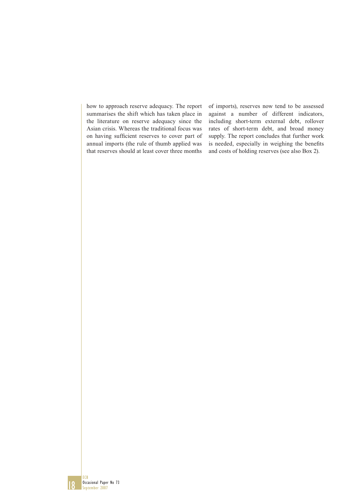how to approach reserve adequacy. The report summarises the shift which has taken place in the literature on reserve adequacy since the Asian crisis. Whereas the traditional focus was on having sufficient reserves to cover part of annual imports (the rule of thumb applied was that reserves should at least cover three months

of imports), reserves now tend to be assessed against a number of different indicators, including short-term external debt, rollover rates of short-term debt, and broad money supply. The report concludes that further work is needed, especially in weighing the benefits and costs of holding reserves (see also Box 2).

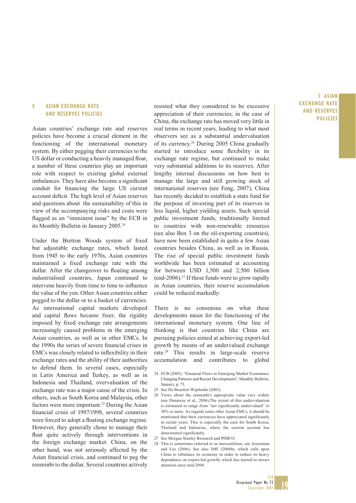#### **5 ASIAN EXCHANGE RATE AND RESERVES POLICIES**

Asian countries' exchange rate and reserves policies have become a crucial element in the functioning of the international monetary system. By either pegging their currencies to the US dollar or conducting a heavily managed float, a number of these countries play an important role with respect to existing global external imbalances. They have also become a significant conduit for financing the large US current account deficit. The high level of Asian reserves and questions about the sustainability of this in view of the accompanying risks and costs were flagged as an "imminent issue" by the ECB in its Monthly Bulletin in January 2005.24

Under the Bretton Woods system of fixed but adjustable exchange rates, which lasted from 1945 to the early 1970s, Asian countries maintained a fixed exchange rate with the dollar. After the changeover to floating among industrialised countries, Japan continued to intervene heavily from time to time to influence the value of the yen. Other Asian countries either pegged to the dollar or to a basket of currencies. As international capital markets developed and capital flows became freer, the rigidity imposed by fixed exchange rate arrangements increasingly caused problems in the emerging Asian countries, as well as in other EMCs. In the 1990s the series of severe financial crises in EMCs was closely related to inflexibility in their exchange rates and the ability of their authorities to defend them. In several cases, especially in Latin America and Turkey, as well as in Indonesia and Thailand, overvaluation of the exchange rate was a major cause of the crisis. In others, such as South Korea and Malaysia, other factors were more important.<sup>25</sup> During the Asian - nancial crisis of 1997/1998, several countries were forced to adopt a floating exchange regime. However, they generally chose to manage their float quite actively through interventions in the foreign exchange market. China, on the other hand, was not seriously affected by the Asian financial crisis, and continued to peg the renminbi to the dollar. Several countries actively

resisted what they considered to be excessive appreciation of their currencies; in the case of China, the exchange rate has moved very little in real terms in recent years, leading to what most observers see as a substantial undervaluation of its currency.26 During 2005 China gradually started to introduce some flexibility in its exchange rate regime, but continued to make very substantial additions to its reserves. After lengthy internal discussions on how best to manage the large and still growing stock of international reserves (see Feng, 2007), China has recently decided to establish a state fund for the purpose of investing part of its reserves in less liquid, higher yielding assets. Such special public investment funds, traditionally limited to countries with non-renewable resources (see also Box 3 on the oil-exporting countries), have now been established in quite a few Asian countries besides China, as well as in Russia. The rise of special public investment funds worldwide has been estimated at accounting for between USD 1,500 and 2,500 billion (end-2006).27 If these funds were to grow rapidly in Asian countries, their reserve accumulation could be reduced markedly.

There is no consensus on what these developments mean for the functioning of the international monetary system. One line of thinking is that countries like China are pursuing policies aimed at achieving export-led growth by means of an undervalued exchange rate.28 This results in large-scale reserve accumulation and contributes to global

- 24 ECB (2005), "Financial Flows to Emerging Market Economies: Changing Patterns and Recent Developments", Monthly Bulletin, January, p. 73.
- 25 See De Beaufort Wijnholds (2003).
- 26 Views about the renminbi's appropriate value vary widely (see Dunaway et al., 2006).The extent of this undervaluation is estimated to range from "not significantly undervalued" to 30% or more. As regards some other Asian EMCs, it should be mentioned that their currencies have appreciated significantly in recent years. This is especially the case for South Korea, Thailand and Indonesia, where the current account has deteriorated significantly.
- 27 See Morgan Stanley Research and PIMCO.
- 28 This is sometimes referred to as mercantilism; see Aizenman and Lee (2006). See also IMF (2006b), which calls upon China to rebalance its economy in order to reduce its heavy dependence on export-led growth, which has started to attract attention since mid-2004.

### **5 ASIAN EXCHANGE RATE AND RESERVES POLICIES**

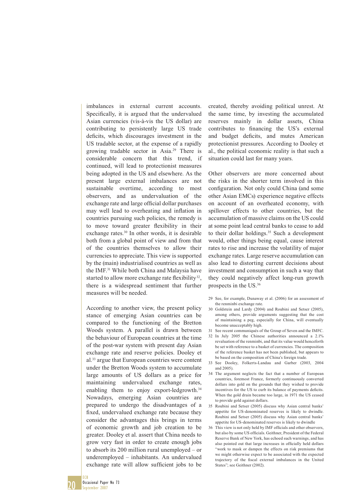imbalances in external current accounts. Specifically, it is argued that the undervalued Asian currencies (vis-à-vis the US dollar) are contributing to persistently large US trade deficits, which discourages investment in the US tradable sector, at the expense of a rapidly growing tradable sector in Asia.29 There is considerable concern that this trend, if continued, will lead to protectionist measures being adopted in the US and elsewhere. As the present large external imbalances are not sustainable overtime, according to most observers, and as undervaluation of the exchange rate and large official dollar purchases may well lead to overheating and inflation in countries pursuing such policies, the remedy is to move toward greater flexibility in their exchange rates.<sup>30</sup> In other words, it is desirable both from a global point of view and from that of the countries themselves to allow their currencies to appreciate. This view is supported by the (main) industrialised countries as well as the IMF.31 While both China and Malaysia have started to allow more exchange rate flexibility<sup>32</sup>, there is a widespread sentiment that further measures will be needed.

According to another view, the present policy stance of emerging Asian countries can be compared to the functioning of the Bretton Woods system. A parallel is drawn between the behaviour of European countries at the time of the post-war system with present day Asian exchange rate and reserve policies. Dooley et al.33 argue that European countries were content under the Bretton Woods system to accumulate large amounts of US dollars as a price for maintaining undervalued exchange rates, enabling them to enjoy export-ledgrowth.<sup>34</sup> Nowadays, emerging Asian countries are prepared to undergo the disadvantages of a fixed, undervalued exchange rate because they consider the advantages this brings in terms of economic growth and job creation to be greater. Dooley et al. assert that China needs to grow very fast in order to create enough jobs to absorb its 200 million rural unemployed – or underemployed – inhabitants. An undervalued exchange rate will allow sufficient jobs to be

created, thereby avoiding political unrest. At the same time, by investing the accumulated reserves mainly in dollar assets, China contributes to financing the US's external and budget deficits, and mutes American protectionist pressures. According to Dooley et al., the political economic reality is that such a situation could last for many years.

Other observers are more concerned about the risks in the shorter term involved in this configuration. Not only could China (and some other Asian EMCs) experience negative effects on account of an overheated economy, with spillover effects to other countries, but the accumulation of massive claims on the US could at some point lead central banks to cease to add to their dollar holdings.<sup>35</sup> Such a development would, other things being equal, cause interest rates to rise and increase the volatility of major exchange rates. Large reserve accumulation can also lead to distorting current decisions about investment and consumption in such a way that they could negatively affect long-run growth prospects in the US.36

- 29 See, for example, Dunaway et al. (2006) for an assessment of the renminbi exchange rate.
- 30 Goldstein and Lardy (2004) and Roubini and Setser (2005), among others, provide arguments suggesting that the cost of maintaining a peg, especially for China, will eventually become unacceptably high.
- 31 See recent communiqués of the Group of Seven and the IMFC.
- 32 In July 2005 the Chinese authorities announced a 2.1% revaluation of the renminbi, and that its value would henceforth be set with reference to a basket of currencies. The composition of the reference basket has not been published, but appears to be based on the composition of China's foreign trade.
- 33 See Dooley, Folkerts-Landau and Garber (2003, 2004 and 2005).
- 34 The argument neglects the fact that a number of European countries, foremost France, formerly continuously converted dollars into gold on the grounds that they wished to provide incentives for the US to curb its balance of payments deficits. When the gold drain became too large, in 1971 the US ceased to provide gold against dollars.
- 35 Roubini and Setser (2005) discuss why Asian central banks' appetite for US-denominated reserves is likely to dwindle. Roubini and Setser (2005) discuss why Asian central banks' appetite for US-denominated reserves is likely to dwindle
- 36 This view is not only held by IMF officials and other observers, but also by some US officials. Geithner, President of the Federal Reserve Bank of New York, has echoed such warnings, and has also pointed out that large increases in officially held dollars "work to mask or dampen the effects on risk premiums that we might otherwise expect to be associated with the expected trajectory of the fiscal external imbalances in the United States"; see Geithner (2002).

20 ECB Occasional Paper No 73 September 2007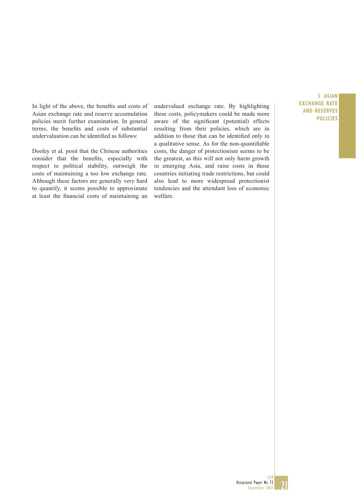In light of the above, the benefits and costs of Asian exchange rate and reserve accumulation policies merit further examination. In general terms, the benefits and costs of substantial undervaluation can be identified as follows:

Dooley et al. posit that the Chinese authorities consider that the benefits, especially with respect to political stability, outweigh the costs of maintaining a too low exchange rate. Although these factors are generally very hard to quantify, it seems possible to approximate at least the financial costs of maintaining an undervalued exchange rate. By highlighting these costs, policymakers could be made more aware of the significant (potential) effects resulting from their policies, which are in addition to those that can be identified only in a qualitative sense. As for the non-quantifiable costs, the danger of protectionism seems to be the greatest, as this will not only harm growth in emerging Asia, and raise costs in those countries initiating trade restrictions, but could also lead to more widespread protectionist tendencies and the attendant loss of economic welfare.

### **5 ASIAN EXCHANGE RATE AND RESERVES POLICIES**



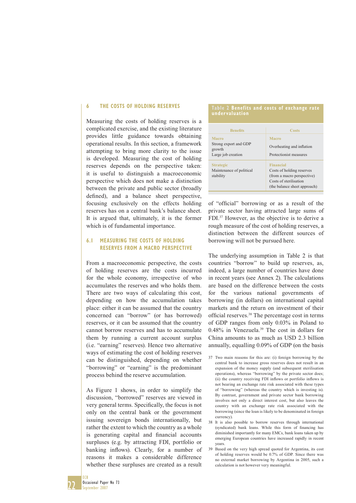#### **6 THE COSTS OF HOLDING RESERVES**

Measuring the costs of holding reserves is a complicated exercise, and the existing literature provides little guidance towards obtaining operational results. In this section, a framework attempting to bring more clarity to the issue is developed. Measuring the cost of holding reserves depends on the perspective taken: it is useful to distinguish a macroeconomic perspective which does not make a distinction between the private and public sector (broadly defined), and a balance sheet perspective, focusing exclusively on the effects holding reserves has on a central bank's balance sheet. It is argued that, ultimately, it is the former which is of fundamental importance.

#### **6.1 MEASURING THE COSTS OF HOLDING RESERVES FROM A MACRO PERSPECTIVE**

From a macroeconomic perspective, the costs of holding reserves are the costs incurred for the whole economy, irrespective of who accumulates the reserves and who holds them. There are two ways of calculating this cost, depending on how the accumulation takes place: either it can be assumed that the country concerned can "borrow" (or has borrowed) reserves, or it can be assumed that the country cannot borrow reserves and has to accumulate them by running a current account surplus (i.e. "earning" reserves). Hence two alternative ways of estimating the cost of holding reserves can be distinguished, depending on whether "borrowing" or "earning" is the predominant process behind the reserve accumulation.

As Figure 1 shows, in order to simplify the discussion, "borrowed" reserves are viewed in very general terms. Specifically, the focus is not only on the central bank or the government issuing sovereign bonds internationally, but rather the extent to which the country as a whole is generating capital and financial accounts surpluses (e.g. by attracting FDI, portfolio or banking inflows). Clearly, for a number of reasons it makes a considerable difference whether these surpluses are created as a result

#### **Table 2 Benefits and costs of exchange rate undervaluation**

| <b>Benefits</b>                                                | Costs                                                                                                                                 |
|----------------------------------------------------------------|---------------------------------------------------------------------------------------------------------------------------------------|
| Macro<br>Strong export and GDP<br>growth<br>Large job creation | Macro<br>Overheating and inflation<br>Protectionist measures                                                                          |
| <b>Strategic</b><br>Maintenance of political<br>stability      | <b>Financial</b><br>Costs of holding reserves<br>(from a macro perspective)<br>Costs of sterilisation<br>(the balance sheet approach) |

of "official" borrowing or as a result of the private sector having attracted large sums of FDI.37 However, as the objective is to derive a rough measure of the cost of holding reserves, a distinction between the different sources of borrowing will not be pursued here.

The underlying assumption in Table 2 is that countries "borrow" to build up reserves, as, indeed, a large number of countries have done in recent years (see Annex 2). The calculations are based on the difference between the costs for the various national governments of borrowing (in dollars) on international capital markets and the return on investment of their official reserves.<sup>38</sup> The percentage cost in terms of GDP ranges from only 0.03% in Poland to 0.48% in Venezuela.39 The cost in dollars for China amounts to as much as USD 2.3 billion annually, equalling 0.09% of GDP (on the basis

- 37 Two main reasons for this are: (i) foreign borrowing by the central bank to increase gross reserves does not result in an expansion of the money supply (and subsequent sterilisation operations), whereas "borrowing" by the private sector does; (ii) the country receiving FDI inflows or portfolio inflows is not bearing an exchange rate risk associated with these types of "borrowing" (whereas the country which is investing is). By contrast, government and private sector bank borrowing involves not only a direct interest cost, but also leaves the country with an exchange rate risk associated with the borrowing (since the loan is likely to be denominated in foreign currency).
- 38 It is also possible to borrow reserves through international (syndicated) bank loans. While this form of financing has diminished importantly for many EMCs, bank loans taken up by emerging European countries have increased rapidly in recent years.
- 39 Based on the very high spread quoted for Argentina, its cost of holding reserves would be 0.7% of GDP. Since there was no external market borrowing by Argentina in 2005, such a calculation is not however very meaningful.

22 ECB Occasional Paper No 73 September 2007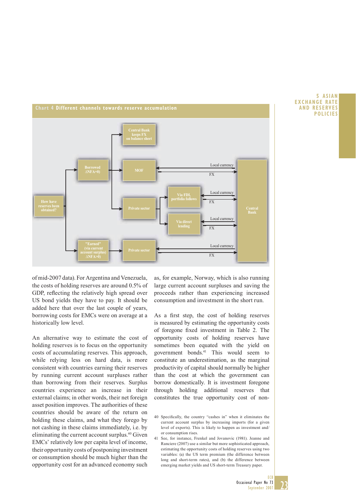

**5ASIAN EXCHANGE RATE AND RESERVES POLICIES**

of mid-2007 data). For Argentina and Venezuela, the costs of holding reserves are around 0.5% of GDP, reflecting the relatively high spread over US bond yields they have to pay. It should be added here that over the last couple of years, borrowing costs for EMCs were on average at a historically low level.

An alternative way to estimate the cost of holding reserves is to focus on the opportunity costs of accumulating reserves. This approach, while relying less on hard data, is more consistent with countries earning their reserves by running current account surpluses rather than borrowing from their reserves. Surplus countries experience an increase in their external claims; in other words, their net foreign asset position improves. The authorities of these countries should be aware of the return on holding these claims, and what they forego by not cashing in these claims immediately, i.e. by eliminating the current account surplus.40 Given EMCs' relatively low per capita level of income, their opportunity costs of postponing investment or consumption should be much higher than the opportunity cost for an advanced economy such

as, for example, Norway, which is also running large current account surpluses and saving the proceeds rather than experiencing increased consumption and investment in the short run.

As a first step, the cost of holding reserves is measured by estimating the opportunity costs of foregone fixed investment in Table 2. The opportunity costs of holding reserves have sometimes been equated with the yield on government bonds.41 This would seem to constitute an underestimation, as the marginal productivity of capital should normally be higher than the cost at which the government can borrow domestically. It is investment foregone through holding additional reserves that constitutes the true opportunity cost of non-

41 See, for instance, Frenkel and Jovanovic (1981). Jeanne and Ranciere (2007) use a similar but more sophisticated approach, estimating the opportunity costs of holding reserves using two variables: (a) the US term premium (the difference between long and short-term rates), and (b) the difference between emerging market yields and US short-term Treasury paper.

23

<sup>40</sup> Specifically, the country "cashes in" when it eliminates the current account surplus by increasing imports (for a given level of exports). This is likely to happen as investment and/ or consumption rises.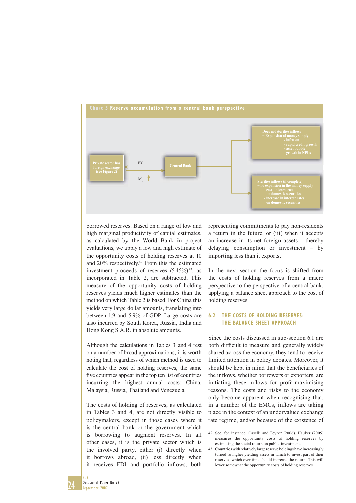

borrowed reserves. Based on a range of low and high marginal productivity of capital estimates, as calculated by the World Bank in project evaluations, we apply a low and high estimate of the opportunity costs of holding reserves at 10 and 20% respectively.42 From this the estimated investment proceeds of reserves  $(5.45\%)$ <sup>43</sup>, as incorporated in Table 2, are subtracted. This measure of the opportunity costs of holding reserves yields much higher estimates than the method on which Table 2 is based. For China this yields very large dollar amounts, translating into between 1.9 and 5.9% of GDP. Large costs are also incurred by South Korea, Russia, India and Hong Kong S.A.R. in absolute amounts.

Although the calculations in Tables 3 and 4 rest on a number of broad approximations, it is worth noting that, regardless of which method is used to calculate the cost of holding reserves, the same five countries appear in the top ten list of countries incurring the highest annual costs: China, Malaysia, Russia, Thailand and Venezuela.

The costs of holding of reserves, as calculated in Tables 3 and 4, are not directly visible to policymakers, except in those cases where it is the central bank or the government which is borrowing to augment reserves. In all other cases, it is the private sector which is the involved party, either (i) directly when it borrows abroad, (ii) less directly when it receives FDI and portfolio inflows, both

representing commitments to pay non-residents a return in the future, or (iii) when it accepts an increase in its net foreign assets – thereby delaying consumption or investment – by importing less than it exports.

In the next section the focus is shifted from the costs of holding reserves from a macro perspective to the perspective of a central bank, applying a balance sheet approach to the cost of holding reserves.

### **6.2 THE COSTS OF HOLDING RESERVES: THE BALANCE SHEET APPROACH**

Since the costs discussed in sub-section 6.1 are both difficult to measure and generally widely shared across the economy, they tend to receive limited attention in policy debates. Moreover, it should be kept in mind that the beneficiaries of the inflows, whether borrowers or exporters, are initiating these inflows for profit-maximising reasons. The costs and risks to the economy only become apparent when recognising that, in a number of the EMCs, inflows are taking place in the context of an undervalued exchange rate regime, and/or because of the existence of

<sup>42</sup> See, for instance, Caselli and Feyrer (2006). Hauker (2005) measures the opportunity costs of holding reserves by estimating the social return on public investment.

<sup>43</sup> Countries with relatively large reserve holdings have increasingly turned to higher yielding assets in which to invest part of their reserves, which over time should increase the return. This will lower somewhat the opportunity costs of holding reserves.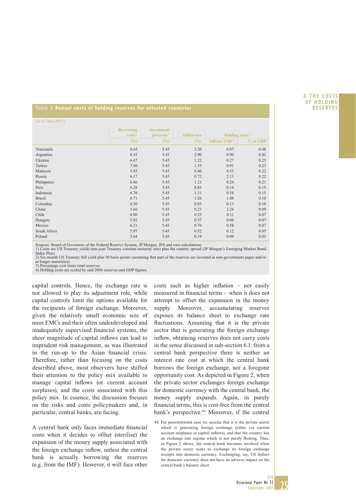#### **6THE COSTS OF HOLDING RESERVES**

#### **Table 3 Annual costs of holding reserves for selected countries**

(as of June-2007) **Borrowing costs 1 Investment proceeds<sup>2</sup> <b>Difference Holding costs<sup>4</sup>** (%) (%) (%) **billions USD<sup>3</sup> <b>6** % of GDP Venezuela 8.65 8.65 3.20 0.87 0.48 Argentina 8.35 5.45 2.90 0.90 0.42 Ukraine 6.67 5.45 1.22 0.27 0.25 Turkey 1.55 0.91 0.23 Malaysia 5.85 5.45 0.40 0.33 0.22 Russia 6.17 5.45 0.72 2.13 0.22 Philippines 6.66 5.45 1.21 0.24 0.21 Peru 6.28 5.45 0.83 0.14 0.15 Indonesia 6.76 5.45 1.31 0.54 0.15 Brazil 6.71 5.45 1.26 1.08 0.10 Colombia 6.30 5.45 0.85 0.13 0.10 China 5.66 5.45 0.21 2.24 0.09 Chile 6.00 5.45 0.55 0.11 0.07 Hungary 5.82 5.45 0.37 0.08 0.07 Mexico 6.21 5.45 0.76 0.58 0.07 South Africa 6.052 0.052 0.12 0.05 Poland 6.03 0.03 0.03 0.04 5.64 5.45 0.19 0.09 0.03

Sources: Board of Governors of the Federal Reserve System, JP Morgan, IFS and own calculations.

1) Costs are US Treasury yields (ten-year Treasury constant maturity rate) plus the country spread (JP Morgan's Emerging Market Bond Index Plus). 2) Six-month US Treasury bill yield plus 50 basis points (assuming that part of the reserves are invested in non-government paper and/or at longer maturities).

3) Percentage cost times total reserves.<br>4) Holding costs are scaled by end-2006 reserves and GDP figures.

capital controls. Hence, the exchange rate is not allowed to play its adjustment role, while capital controls limit the options available for the recipients of foreign exchange. Moreover, given the relatively small economic size of most EMCs and their often underdeveloped and inadequately supervised financial systems, the sheer magnitude of capital inflows can lead to imprudent risk management, as was illustrated in the run-up to the Asian financial crisis. Therefore, rather than focusing on the costs described above, most observers have shifted their attention to the policy mix available to manage capital inflows (or current account surpluses), and the costs associated with this policy mix. In essence, the discussion focuses on the risks and costs policymakers and, in particular, central banks, are facing.

A central bank only faces immediate financial costs when it decides to offset (sterilise) the expansion of the money supply associated with the foreign exchange inflow, unless the central bank is actually borrowing the reserves (e.g. from the IMF). However, it will face other

costs such as higher inflation – not easily measured in financial terms - when it does not attempt to offset the expansion in the money supply. Moreover, accumulating reserves exposes its balance sheet to exchange rate fluctuations. Assuming that it is the private sector that is generating the foreign exchange inflow, obtaining reserves does not carry costs in the sense discussed in sub-section 6.1: from a central bank perspective there is neither an interest rate cost at which the central bank borrows the foreign exchange, nor a foregone opportunity cost. As depicted in Figure 2, when the private sector exchanges foreign exchange for domestic currency with the central bank, the money supply expands. Again, in purely financial terms, this is cost-free from the central bank's perspective.<sup>44</sup> Moreover, if the central

44 For presentational ease we assume that it is the private sector which is generating foreign exchange (either via current account surpluses or capital inflows), and that the country has an exchange rate regime which is not purely floating. Thus, as Figure 2 shows, the central bank becomes involved when the private sector seeks to exchange its foreign exchange receipts into domestic currency. Exchanging, say, US dollars for domestic currency does not have an adverse impact on the central bank's balance sheet.

25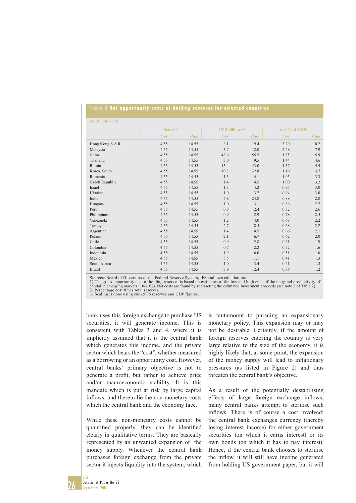|  |  |  |  | Table 4 Net opportunity costs of holding reserves for selected countries |
|--|--|--|--|--------------------------------------------------------------------------|
|  |  |  |  |                                                                          |

| $(as of End-2005)$ |                      |       |                                                 |       |                            |      |  |  |
|--------------------|----------------------|-------|-------------------------------------------------|-------|----------------------------|------|--|--|
|                    | Percent <sup>1</sup> |       | <b>USD</b> billions <sup><math>2,3</math></sup> |       | As a % of GDP <sup>3</sup> |      |  |  |
|                    | Low                  | High  | Low                                             | High  | Low                        | High |  |  |
| Hong Kong S.A.R.   | 4.55                 | 14.55 | 6.1                                             | 19.4  | 3.20                       | 10.2 |  |  |
| Malaysia           | 4.55                 | 14.55 | 3.7                                             | 12.0  | 2.48                       | 7.9  |  |  |
| China              | 4.55                 | 14.55 | 48.6                                            | 155.5 | 1.85                       | 5.9  |  |  |
| Thailand           | 4.55                 | 14.55 | 3.0                                             | 9.5   | 1.44                       | 4.6  |  |  |
| Russia             | 4.55                 | 14.55 | 13.4                                            | 43.0  | 1.37                       | 4.4  |  |  |
| Korea, South       | 4.55                 | 14.55 | 10.3                                            | 32.8  | 1.16                       | 3.7  |  |  |
| Romania            | 4.55                 | 14.55 | 1.3                                             | 4.1   | 1.05                       | 3.3  |  |  |
| Czech Republic     | 4.55                 | 14.55 | 1.4                                             | 4.5   | 1.00                       | 3.2  |  |  |
| Israel             | 4.55                 | 14.55 | 1.3                                             | 4.2   | 0.95                       | 3.0  |  |  |
| Ukraine            | 4.55                 | 14.55 | 1.0                                             | 3.2   | 0.94                       | 3.0  |  |  |
| India              | 4.55                 | 14.55 | 7.8                                             | 24.8  | 0.88                       | 2.8  |  |  |
| Hungary            | 4.55                 | 14.55 | 1.0                                             | 3.1   | 0.86                       | 2.7  |  |  |
| Peru               | 4.55                 | 14.55 | 0.8                                             | 2.4   | 0.82                       | 2.6  |  |  |
| Philippines        | 4.55                 | 14.55 | 0.9                                             | 2.9   | 0.78                       | 2.5  |  |  |
| Venezuela          | 4.55                 | 14.55 | 1.2                                             | 4.0   | 0.68                       | 2.2  |  |  |
| Turkey             | 4.55                 | 14.55 | 2.7                                             | 8.5   | 0.68                       | 2.2  |  |  |
| Argentina          | 4.55                 | 14.55 | 1.4                                             | 4.5   | 0.66                       | 2.1  |  |  |
| Poland             | 4.55                 | 14.55 | 2.1                                             | 6.7   | 0.62                       | 2.0  |  |  |
| Chile              | 4.55                 | 14.55 | 0.9                                             | 2.8   | 0.61                       | 1.9  |  |  |
| Colombia           | 4.55                 | 14.55 | 0.7                                             | 2.2   | 0.52                       | 1.6  |  |  |
| Indonesia          | 4.55                 | 14.55 | 1.9                                             | 6.0   | 0.51                       | 1.6  |  |  |
| Mexico             | 4.55                 | 14.55 | 3.5                                             | 11.1  | 0.41                       | 1.3  |  |  |
| South Africa       | 4.55                 | 14.55 | 1.0                                             | 3.4   | 0.41                       | 1.3  |  |  |
| <b>Brazil</b>      | 4.55                 | 14.55 | 3.9                                             | 12.4  | 0.36                       | 1.2  |  |  |

Sources: Board of Governors of the Federal Reserve System, IFS and own calculations 1) The gross opportunity cost of holding reserves is based on estimates of the low and high ends of the marginal productivity of capital in emerging markets (10-20%). Net costs are found by subtracting the estimated investment proceeds (see note 2 of Table 2). 2) Percentage cost times total reserves.

3) Scaling is done using end-2006 reserves and GDP figures.

bank uses this foreign exchange to purchase US securities, it will generate income. This is consistent with Tables 3 and 4, where it is implicitly assumed that it is the central bank which generates this income, and the private sector which bears the "cost", whether measured as a borrowing or an opportunity cost. However, central banks' primary objective is not to generate a profit, but rather to achieve price and/or macroeconomic stability. It is this mandate which is put at risk by large capital inflows, and therein lie the non-monetary costs which the central bank and the economy face.

While these non-monetary costs cannot be quantified properly, they can be identified clearly in qualitative terms. They are basically represented by an unwanted expansion of the money supply. Whenever the central bank purchases foreign exchange from the private sector it injects liquidity into the system, which

is tantamount to pursuing an expansionary monetary policy. This expansion may or may not be desirable. Certainly, if the amount of foreign reserves entering the country is very large relative to the size of the economy, it is highly likely that, at some point, the expansion of the money supply will lead to inflationary pressures (as listed in Figure 2) and thus threaten the central bank's objective.

As a result of the potentially destabilising effects of large foreign exchange inflows, many central banks attempt to sterilise such inflows. There is of course a cost involved: the central bank exchanges currency (thereby losing interest income) for either government securities (on which it earns interest) or its own bonds (on which it has to pay interest). Hence, if the central bank chooses to sterilise the inflow, it will still have income generated from holding US government paper, but it will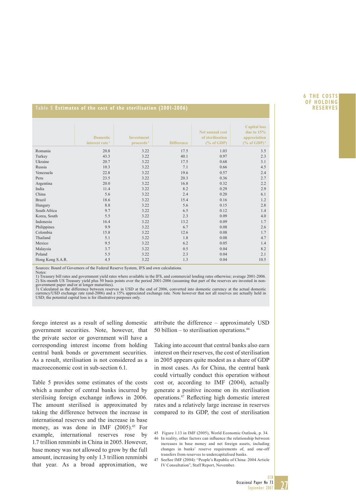#### **6THE COSTS OF HOLDING RESERVES**

#### **Table 5 Estimates of the cost of the sterilisation (2001-2006)**

|                  | <b>Domestic</b><br>interest rate <sup>1</sup> | <b>Investment</b><br>proceeds <sup>2</sup> | <b>Difference</b> | Net annual cost<br>of sterilisation<br>$(\%$ of GDP) | <b>Capital loss</b><br>due to $15%$<br>appreciation<br>$(\%$ of GDP) <sup>3</sup> |
|------------------|-----------------------------------------------|--------------------------------------------|-------------------|------------------------------------------------------|-----------------------------------------------------------------------------------|
| Romania          | 20.8                                          | 3.22                                       | 17.5              | 1.03                                                 | 3.5                                                                               |
| Turkey           | 43.3                                          | 3.22                                       | 40.1              | 0.97                                                 | 2.3                                                                               |
| Ukraine          | 20.7                                          | 3.22                                       | 17.5              | 0.68                                                 | 3.1                                                                               |
| Russia           | 10.3                                          | 3.22                                       | 7.1               | 0.66                                                 | 4.5                                                                               |
| Venezuela        | 22.8                                          | 3.22                                       | 19.6              | 0.57                                                 | 2.4                                                                               |
| Peru             | 23.5                                          | 3.22                                       | 20.3              | 0.36                                                 | 2.7                                                                               |
| Argentina        | 20.0                                          | 3.22                                       | 16.8              | 0.32                                                 | 2.2                                                                               |
| India            | 11.4                                          | 3.22                                       | 8.2               | 0.29                                                 | 2.9                                                                               |
| China            | 5.6                                           | 3.22                                       | 2.4               | 0.20                                                 | 6.1                                                                               |
| <b>Brazil</b>    | 18.6                                          | 3.22                                       | 15.4              | 0.16                                                 | 1.2                                                                               |
| Hungary          | 8.8                                           | 3.22                                       | 5.6               | 0.15                                                 | 2.8                                                                               |
| South Africa     | 9.7                                           | 3.22                                       | 6.5               | 0.12                                                 | 1.4                                                                               |
| Korea, South     | 5.5                                           | 3.22                                       | 2.3               | 0.09                                                 | 4.0                                                                               |
| Indonesia        | 16.4                                          | 3.22                                       | 13.2              | 0.09                                                 | 1.7                                                                               |
| Philippines      | 9.9                                           | 3.22                                       | 6.7               | 0.08                                                 | 2.6                                                                               |
| Colombia         | 15.8                                          | 3.22                                       | 12.6              | 0.08                                                 | 1.7                                                                               |
| Thailand         | 5.1                                           | 3.22                                       | 1.8               | 0.08                                                 | 4.7                                                                               |
| Mexico           | 9.5                                           | 3.22                                       | 6.2               | 0.05                                                 | 1.4                                                                               |
| Malaysia         | 3.7                                           | 3.22                                       | 0.5               | 0.04                                                 | 8.2                                                                               |
| Poland           | 5.5                                           | 3.22                                       | 2.3               | 0.04                                                 | 2.1                                                                               |
| Hong Kong S.A.R. | 4.5                                           | 3.22                                       | 1.3               | 0.04                                                 | 10.5                                                                              |

Sources: Board of Governors of the Federal Reserve System, IFS and own calculations. Notes:

1) Treasury bill rates and government yield rates where available in the IFS, and commercial lending rates otherwise; average 2001-2006. 2) Six-month US Treasury yield plus 50 basis points over the period 2001-2006 (assuming that part of the reserves are invested in non-<br>government paper and/or at longer maturities).<br>3) Calculated as the difference between

currency/USD exchange rate (end-2006) and a 15% appreciated exchange rate. Note however that not all reserves are actually held in USD; the potential capital loss is for illustrative purposes only.

forego interest as a result of selling domestic government securities. Note, however, that the private sector or government will have a corresponding interest income from holding central bank bonds or government securities. As a result, sterilisation is not considered as a macroeconomic cost in sub-section 6.1.

Table 5 provides some estimates of the costs which a number of central banks incurred by sterilising foreign exchange inflows in 2006. The amount sterilised is approximated by taking the difference between the increase in international reserves and the increase in base money, as was done in IMF (2005).<sup>45</sup> For example, international reserves rose by 1.7 trillion renminbi in China in 2005. However, base money was not allowed to grow by the full amount, increasing by only 1.3 trillion renminbi that year. As a broad approximation, we attribute the difference – approximately USD 50 billion – to sterilisation operations. $46$ 

Taking into account that central banks also earn interest on their reserves, the cost of sterilisation in 2005 appears quite modest as a share of GDP in most cases. As for China, the central bank could virtually conduct this operation without cost or, according to IMF (2004), actually generate a positive income on its sterilisation operations.<sup>47</sup> Reflecting high domestic interest rates and a relatively large increase in reserves compared to its GDP, the cost of sterilisation

27

<sup>45</sup> Figure 1.13 in IMF (2005), World Economic Outlook, p. 34.

<sup>46</sup> In reality, other factors can influence the relationship between increases in base money and net foreign assets, including changes in banks' reserve requirements of, and one-off transfers from reserves to undercapitalised banks.

<sup>47</sup> SeeSee IMF (2004): "People's Republic of China: 2004 Article IV Consultation", Staff Report, November.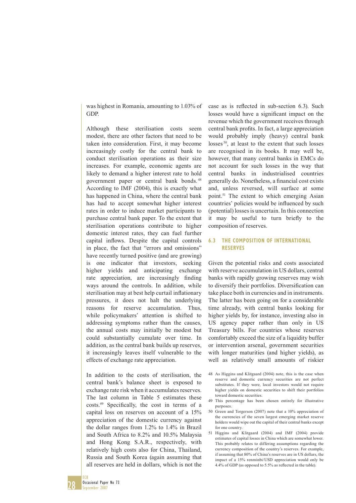was highest in Romania, amounting to 1.03% of GDP.

Although these sterilisation costs seem modest, there are other factors that need to be taken into consideration. First, it may become increasingly costly for the central bank to conduct sterilisation operations as their size increases. For example, economic agents are likely to demand a higher interest rate to hold government paper or central bank bonds. 48 According to IMF (2004), this is exactly what has happened in China, where the central bank has had to accept somewhat higher interest rates in order to induce market participants to purchase central bank paper. To the extent that sterilisation operations contribute to higher domestic interest rates, they can fuel further capital inflows. Despite the capital controls in place, the fact that "errors and omissions" have recently turned positive (and are growing) is one indicator that investors, seeking higher yields and anticipating exchange rate appreciation, are increasingly finding ways around the controls. In addition, while sterilisation may at best help curtail inflationary pressures, it does not halt the underlying reasons for reserve accumulation. Thus, while policymakers' attention is shifted to addressing symptoms rather than the causes, the annual costs may initially be modest but could substantially cumulate over time. In addition, as the central bank builds up reserves, it increasingly leaves itself vulnerable to the effects of exchange rate appreciation.

In addition to the costs of sterilisation, the central bank's balance sheet is exposed to exchange rate risk when it accumulates reserves. The last column in Table 5 estimates these costs.<sup>49</sup> Specifically, the cost in terms of a capital loss on reserves on account of a 15% appreciation of the domestic currency against the dollar ranges from 1.2% to 1.4% in Brazil and South Africa to 8.2% and 10.5% Malaysia and Hong Kong S.A.R., respectively, with relatively high costs also for China, Thailand, Russia and South Korea (again assuming that all reserves are held in dollars, which is not the

case as is reflected in sub-section 6.3). Such losses would have a significant impact on the revenue which the government receives through central bank profits. In fact, a large appreciation would probably imply (heavy) central bank losses<sup>50</sup>, at least to the extent that such losses are recognised in its books. It may well be, however, that many central banks in EMCs do not account for such losses in the way that central banks in industrialised countries generally do. Nonetheless, a financial cost exists and, unless reversed, will surface at some point.51 The extent to which emerging Asian countries' policies would be influenced by such (potential) losses is uncertain. In this connection it may be useful to turn briefly to the composition of reserves.

#### **6.3 THE COMPOSITION OF INTERNATIONAL RESERVES**

Given the potential risks and costs associated with reserve accumulation in US dollars, central banks with rapidly growing reserves may wish to diversify their portfolios. Diversification can take place both in currencies and in instruments. The latter has been going on for a considerable time already, with central banks looking for higher yields by, for instance, investing also in US agency paper rather than only in US Treasury bills. For countries whose reserves comfortably exceed the size of a liquidity buffer or intervention arsenal, government securities with longer maturities (and higher yields), as well as relatively small amounts of riskier

- 48 As Higgins and Klitgaard (2004) note, this is the case when reserve and domestic currency securities are not perfect substitutes. If they were, local investors would not require higher yields on domestic securities to shift their portfolios toward domestic securities.
- 49 This percentage has been chosen entirely for illustrative purposes.
- 50 Green and Torgerson (2007) note that a 10% appreciation of the currencies of the seven largest emerging market reserve holders would wipe out the capital of their central banks except for one country.
- 51 Higgins and Klitgaard (2004) and IMF (2004) provide estimates of capital losses in China which are somewhat lower. This probably relates to differing assumptions regarding the currency composition of the country's reserves. For example, if assuming that 80% of China's reserves are in US dollars, the impact of a 15% renminbi/USD appreciation would only be  $4.4\%$  of GDP (as opposed to 5.5% as reflected in the table).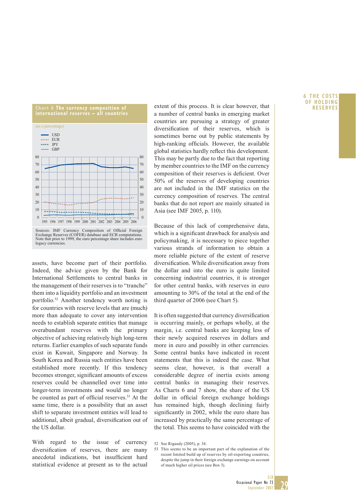

Note that prior to 1999, the euro percentage share includes euro legacy currencies.

assets, have become part of their portfolio. Indeed, the advice given by the Bank for International Settlements to central banks in the management of their reserves is to "tranche" them into a liquidity portfolio and an investment portfolio.52 Another tendency worth noting is for countries with reserve levels that are (much) more than adequate to cover any intervention needs to establish separate entities that manage overabundant reserves with the primary objective of achieving relatively high long-term returns. Earlier examples of such separate funds exist in Kuwait, Singapore and Norway. In South Korea and Russia such entities have been established more recently. If this tendency becomes stronger, significant amounts of excess reserves could be channelled over time into longer-term investments and would no longer be counted as part of official reserves.<sup>53</sup> At the same time, there is a possibility that an asset shift to separate investment entities will lead to additional, albeit gradual, diversification out of the US dollar.

With regard to the issue of currency diversification of reserves, there are many anecdotal indications, but insufficient hard statistical evidence at present as to the actual

extent of this process. It is clear however, that a number of central banks in emerging market countries are pursuing a strategy of greater diversification of their reserves, which is sometimes borne out by public statements by high-ranking officials. However, the available global statistics hardly reflect this development. This may be partly due to the fact that reporting by member countries to the IMF on the currency composition of their reserves is deficient. Over 50% of the reserves of developing countries are not included in the IMF statistics on the currency composition of reserves. The central banks that do not report are mainly situated in Asia (see IMF 2005, p. 110).

Because of this lack of comprehensive data, which is a significant drawback for analysis and policymaking, it is necessary to piece together various strands of information to obtain a more reliable picture of the extent of reserve diversification. While diversification away from the dollar and into the euro is quite limited concerning industrial countries, it is stronger for other central banks, with reserves in euro amounting to 30% of the total at the end of the third quarter of 2006 (see Chart 5).

It is often suggested that currency diversification is occurring mainly, or perhaps wholly, at the margin, i.e. central banks are keeping less of their newly acquired reserves in dollars and more in euro and possibly in other currencies. Some central banks have indicated in recent statements that this is indeed the case. What seems clear, however, is that overall a considerable degree of inertia exists among central banks in managing their reserves. As Charts 6 and 7 show, the share of the US dollar in official foreign exchange holdings has remained high, though declining fairly significantly in 2002, while the euro share has increased by practically the same percentage of the total. This seems to have coincided with the

#### **6THE COSTS OF HOLDING RESERVES**



<sup>52</sup> See Rigaudy (2005), p. 34.

<sup>53</sup> This seems to be an important part of the explanation of the recent limited build up of reserves by oil-exporting countries, despite the jump in their foreign exchange earnings on account of much higher oil prices (see Box 3).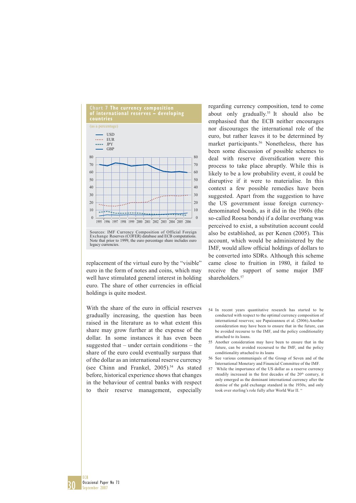

replacement of the virtual euro by the "visible" euro in the form of notes and coins, which may well have stimulated general interest in holding euro. The share of other currencies in official

holdings is quite modest.

With the share of the euro in official reserves gradually increasing, the question has been raised in the literature as to what extent this share may grow further at the expense of the dollar. In some instances it has even been suggested that – under certain conditions – the share of the euro could eventually surpass that of the dollar as an international reserve currency (see Chinn and Frankel, 2005).<sup>54</sup> As stated before, historical experience shows that changes in the behaviour of central banks with respect to their reserve management, especially

regarding currency composition, tend to come about only gradually.<sup>55</sup> It should also be emphasised that the ECB neither encourages nor discourages the international role of the euro, but rather leaves it to be determined by market participants.<sup>56</sup> Nonetheless, there has been some discussion of possible schemes to deal with reserve diversification were this process to take place abruptly. While this is likely to be a low probability event, it could be disruptive if it were to materialise. In this context a few possible remedies have been suggested. Apart from the suggestion to have the US government issue foreign currencydenominated bonds, as it did in the 1960s (the so-called Roosa bonds) if a dollar overhang was perceived to exist, a substitution account could also be established, as per Kenen (2005). This account, which would be administered by the IMF, would allow official holdings of dollars to be converted into SDRs. Although this scheme came close to fruition in 1980, it failed to receive the support of some major IMF shareholders.<sup>57</sup>

- 54 In recent years quantitative research has started to be conducted with respect to the optimal currency composition of international reserves; see Papaioannou et al. (2006).Another consideration may have been to ensure that in the future, can be avoided recourse to the IMF, and the policy conditionality attached to its loans.
- 55 Another consideration may have been to ensure that in the future, can be avoided recoursed to the IMF, and the policy conditionality attached to its loans
- 56 See various communiqués of the Group of Seven and of the International Monetary and Financial Committee of the IMF.
- 57 While the importance of the US dollar as a reserve currency steadily increased in the first decades of the 20<sup>th</sup> century, it only emerged as the dominant international currency after the demise of the gold exchange standard in the 1930s, and only took over sterling's role fully after World War II. "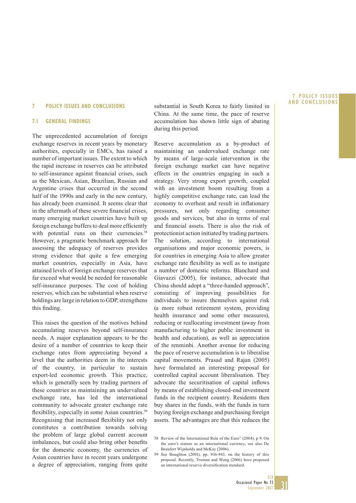#### **7 POLICY ISSUES AND CONCLUSIONS**

#### **7.1 GENERAL FINDINGS**

The unprecedented accumulation of foreign exchange reserves in recent years by monetary authorities, especially in EMCs, has raised a number of important issues. The extent to which the rapid increase in reserves can be attributed to self-insurance against financial crises, such as the Mexican, Asian, Brazilian, Russian and Argentine crises that occurred in the second half of the 1990s and early in the new century, has already been examined. It seems clear that in the aftermath of these severe financial crises, many emerging market countries have built up foreign exchange buffers to deal more efficiently with potential runs on their currencies.<sup>58</sup> However, a pragmatic benchmark approach for assessing the adequacy of reserves provides strong evidence that quite a few emerging market countries, especially in Asia, have attained levels of foreign exchange reserves that far exceed what would be needed for reasonable self-insurance purposes. The cost of holding reserves, which can be substantial when reserve holdings are large in relation to GDP, strengthens this finding.

This raises the question of the motives behind accumulating reserves beyond self-insurance needs. A major explanation appears to be the desire of a number of countries to keep their exchange rates from appreciating beyond a level that the authorities deem in the interests of the country, in particular to sustain export-led economic growth. This practice, which is generally seen by trading partners of these countries as maintaining an undervalued exchange rate, has led the international community to advocate greater exchange rate flexibility, especially in some Asian countries.<sup>59</sup> Recognising that increased flexibility not only constitutes a contribution towards solving the problem of large global current account imbalances, but could also bring other benefits for the domestic economy, the currencies of Asian countries have in recent years undergone a degree of appreciation, ranging from quite

substantial in South Korea to fairly limited in China. At the same time, the pace of reserve accumulation has shown little sign of abating during this period.

Reserve accumulation as a by-product of maintaining an undervalued exchange rate by means of large-scale intervention in the foreign exchange market can have negative effects in the countries engaging in such a strategy. Very strong export growth, coupled with an investment boom resulting from a highly competitive exchange rate, can lead the economy to overheat and result in inflationary pressures, not only regarding consumer goods and services, but also in terms of real and financial assets. There is also the risk of protectionist action initiated by trading partners. The solution, according to international organisations and major economic powers, is for countries in emerging Asia to allow greater exchange rate flexibility as well as to instigate a number of domestic reforms. Blanchard and Giavazzi (2005), for instance, advocate that China should adopt a "three-handed approach", consisting of improving possibilities for individuals to insure themselves against risk (a more robust retirement system, providing health insurance and some other measures), reducing or reallocating investment (away from manufacturing to higher public investment in health and education), as well as appreciation of the renminbi. Another avenue for reducing the pace of reserve accumulation is to liberalise capital movements. Prasad and Rajan (2005) have formulated an interesting proposal for controlled capital account liberalisation. They advocate the securitisation of capital inflows by means of establishing closed-end investment funds in the recipient country. Residents then buy shares in the funds, with the funds in turn buying foreign exchange and purchasing foreign assets. The advantages are that this reduces the

#### **7POLICY ISSUES AND CONCLUSIONS**



<sup>58</sup> Review of the International Role of the Euro" (2004), p 9. On the euro's stature as an international currency, see also De Beaufort Wijnholds and McKay (2006).

<sup>59</sup> See Boughton (2001), pp. 936-943, on the history of this proposal. Recently, Truman and Wong (2006) have proposed an international reserve diversification standard.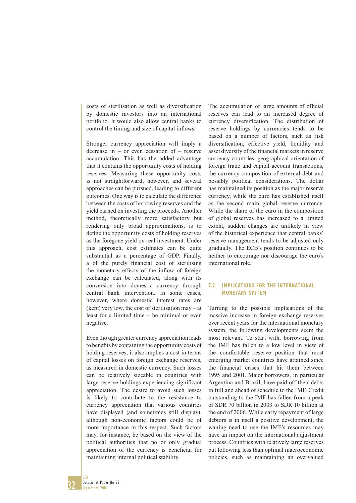costs of sterilisation as well as diversification by domestic investors into an international portfolio. It would also allow central banks to control the timing and size of capital inflows.

Stronger currency appreciation will imply a decrease in – or even cessation of – reserve accumulation. This has the added advantage that it contains the opportunity costs of holding reserves. Measuring these opportunity costs is not straightforward, however, and several approaches can be pursued, leading to different outcomes. One way is to calculate the difference between the costs of borrowing reserves and the yield earned on investing the proceeds. Another method, theoretically more satisfactory but rendering only broad approximations, is to define the opportunity costs of holding reserves as the foregone yield on real investment. Under this approach, cost estimates can be quite substantial as a percentage of GDP. Finally, a of the purely financial cost of sterilising the monetary effects of the inflow of foreign exchange can be calculated, along with its conversion into domestic currency through central bank intervention. In some cases, however, where domestic interest rates are (kept) very low, the cost of sterilisation may – at least for a limited time – be minimal or even negative.

Even tho ugh greater currency appreciation leads to benefits by containing the opportunity costs of holding reserves, it also implies a cost in terms of capital losses on foreign exchange reserves, as measured in domestic currency. Such losses can be relatively sizeable in countries with large reserve holdings experiencing significant appreciation. The desire to avoid such losses is likely to contribute to the resistance to currency appreciation that various countries have displayed (and sometimes still display), although non-economic factors could be of more importance in this respect. Such factors may, for instance, be based on the view of the political authorities that no or only gradual appreciation of the currency is beneficial for maintaining internal political stability.

The accumulation of large amounts of official reserves can lead to an increased degree of currency diversification. The distribution of reserve holdings by currencies tends to be based on a number of factors, such as risk diversification, effective yield, liquidity and asset diversity of the financial markets in reserve currency countries, geographical orientation of foreign trade and capital account transactions, the currency composition of external debt and possibly political considerations. The dollar has maintained its position as the major reserve currency, while the euro has established itself as the second main global reserve currency. While the share of the euro in the composition of global reserves has increased to a limited extent, sudden changes are unlikely in view of the historical experience that central banks' reserve management tends to be adjusted only gradually. The ECB's position continues to be neither to encourage nor discourage the euro's international role.

#### **7.2 IMPLICATIONS FOR THE INTERNATIONAL MONETARY SYSTEM**

Turning to the possible implications of the massive increase in foreign exchange reserves over recent years for the international monetary system, the following developments seem the most relevant. To start with, borrowing from the IMF has fallen to a low level in view of the comfortable reserve position that most emerging market countries have attained since the financial crises that hit them between 1995 and 2001. Major borrowers, in particular Argentina and Brazil, have paid off their debts in full and ahead of schedule to the IMF. Credit outstanding to the IMF has fallen from a peak of SDR 70 billion in 2003 to SDR 10 billion at the end of 2006. While early repayment of large debtors is in itself a positive development, the waning need to use the IMF's resources may have an impact on the international adjustment process. Countries with relatively large reserves but following less than optimal macroeconomic policies, such as maintaining an overvalued

32 ECB Occasional Paper No 73 September 2007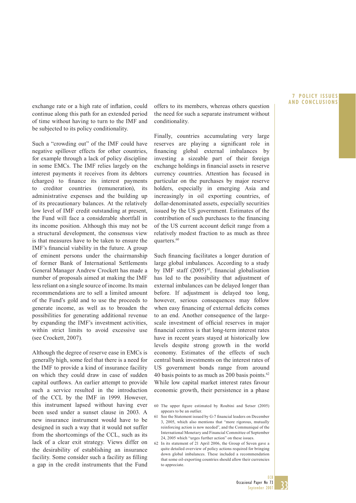#### **7POLICY ISSUES AND CONCLUSIONS**

exchange rate or a high rate of inflation, could continue along this path for an extended period of time without having to turn to the IMF and be subjected to its policy conditionality.

Such a "crowding out" of the IMF could have negative spillover effects for other countries, for example through a lack of policy discipline in some EMCs. The IMF relies largely on the interest payments it receives from its debtors (charges) to finance its interest payments to creditor countries (remuneration), its administrative expenses and the building up of its precautionary balances. At the relatively low level of IMF credit outstanding at present, the Fund will face a considerable shortfall in its income position. Although this may not be a structural development, the consensus view is that measures have to be taken to ensure the IMF's financial viability in the future. A group of eminent persons under the chairmanship of former Bank of International Settlements General Manager Andrew Crockett has made a number of proposals aimed at making the IMF less reliant on a single source of income. Its main recommendations are to sell a limited amount of the Fund's gold and to use the proceeds to generate income, as well as to broaden the possibilities for generating additional revenue by expanding the IMF's investment activities, within strict limits to avoid excessive use (see Crockett, 2007).

Although the degree of reserve ease in EMCs is generally high, some feel that there is a need for the IMF to provide a kind of insurance facility on which they could draw in case of sudden capital outflows. An earlier attempt to provide such a service resulted in the introduction of the CCL by the IMF in 1999. However, this instrument lapsed without having ever been used under a sunset clause in 2003. A new insurance instrument would have to be designed in such a way that it would not suffer from the shortcomings of the CCL, such as its lack of a clear exit strategy. Views differ on the desirability of establishing an insurance facility. Some consider such a facility as filling a gap in the credit instruments that the Fund

offers to its members, whereas others question the need for such a separate instrument without conditionality.

Finally, countries accumulating very large reserves are playing a significant role in financing global external imbalances by investing a sizeable part of their foreign exchange holdings in financial assets in reserve currency countries. Attention has focused in particular on the purchases by major reserve holders, especially in emerging Asia and increasingly in oil exporting countries, of dollar-denominated assets, especially securities issued by the US government. Estimates of the contribution of such purchases to the financing of the US current account deficit range from a relatively modest fraction to as much as three quarters.<sup>60</sup>

Such financing facilitates a longer duration of large global imbalances. According to a study by IMF staff  $(2005)^{61}$ , financial globalisation has led to the possibility that adjustment of external imbalances can be delayed longer than before. If adjustment is delayed too long, however, serious consequences may follow when easy financing of external deficits comes to an end. Another consequence of the largescale investment of official reserves in major financial centres is that long-term interest rates have in recent years stayed at historically low levels despite strong growth in the world economy. Estimates of the effects of such central bank investments on the interest rates of US government bonds range from around 40 basis points to as much as 200 basis points. $62$ While low capital market interest rates favour economic growth, their persistence in a phase



<sup>60</sup> The upper figure estimated by Roubini and Setser (2005) appears to be an outlier.

<sup>61</sup> See the Statement issued by G-7 financial leaders on December 3, 2005, which also mentions that "more rigorous, mutually reinforcing action is now needed", and the Communiqué of the International Monetary and Financial Committee of September 24, 2005 which "urges further action" on these issues.

<sup>62</sup> In its statement of 21 April 2006, the Group of Seven gave a quite detailed overview of policy actions required for bringing down global imbalances. These included a recommendation that some oil-exporting countries should allow their currencies to appreciate.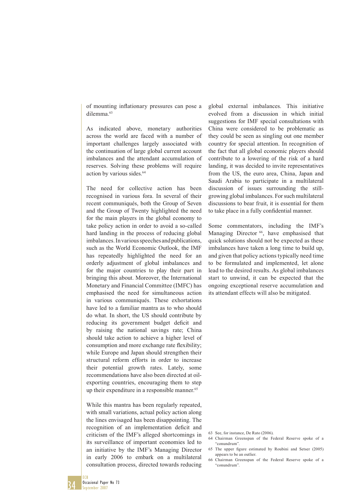of mounting inflationary pressures can pose a dilemma.<sup>63</sup>

As indicated above, monetary authorities across the world are faced with a number of important challenges largely associated with the continuation of large global current account imbalances and the attendant accumulation of reserves. Solving these problems will require action by various sides.<sup>64</sup>

The need for collective action has been recognised in various fora. In several of their recent communiqués, both the Group of Seven and the Group of Twenty highlighted the need for the main players in the global economy to take policy action in order to avoid a so-called hard landing in the process of reducing global imbalances. In various speeches and publications, such as the World Economic Outlook, the IMF has repeatedly highlighted the need for an orderly adjustment of global imbalances and for the major countries to play their part in bringing this about. Moreover, the International Monetary and Financial Committee (IMFC) has emphasised the need for simultaneous action in various communiqués. These exhortations have led to a familiar mantra as to who should do what. In short, the US should contribute by reducing its government budget deficit and by raising the national savings rate; China should take action to achieve a higher level of consumption and more exchange rate flexibility; while Europe and Japan should strengthen their structural reform efforts in order to increase their potential growth rates. Lately, some recommendations have also been directed at oilexporting countries, encouraging them to step up their expenditure in a responsible manner.<sup>65</sup>

While this mantra has been regularly repeated, with small variations, actual policy action along the lines envisaged has been disappointing. The recognition of an implementation deficit and criticism of the IMF's alleged shortcomings in its surveillance of important economies led to an initiative by the IMF's Managing Director in early 2006 to embark on a multilateral consultation process, directed towards reducing

global external imbalances. This initiative evolved from a discussion in which initial suggestions for IMF special consultations with China were considered to be problematic as they could be seen as singling out one member country for special attention. In recognition of the fact that all global economic players should contribute to a lowering of the risk of a hard landing, it was decided to invite representatives from the US, the euro area, China, Japan and Saudi Arabia to participate in a multilateral discussion of issues surrounding the stillgrowing global imbalances. For such multilateral discussions to bear fruit, it is essential for them to take place in a fully confidential manner.

Some commentators, including the IMF's Managing Director <sup>66</sup>, have emphasised that quick solutions should not be expected as these imbalances have taken a long time to build up, and given that policy actions typically need time to be formulated and implemented, let alone lead to the desired results. As global imbalances start to unwind, it can be expected that the ongoing exceptional reserve accumulation and its attendant effects will also be mitigated.

63 See, for instance, De Rato (2006).

- 64 Chairman Greenspan of the Federal Reserve spoke of a "conundrum".
- 65 The upper figure estimated by Roubini and Setser (2005) appears to be an outlier.
- 66 Chairman Greenspan of the Federal Reserve spoke of a "conundrum".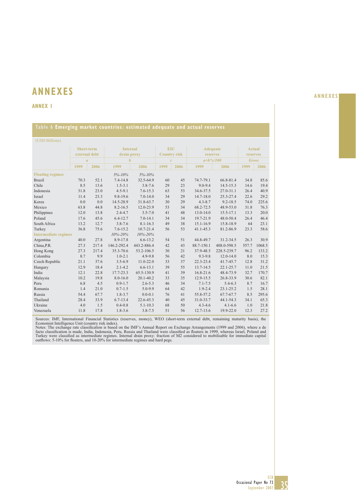# **ANNEXES ANNEXES**

### **ANNEX 1**

### **Table 6 Emerging market countries: estimated adequate and actual reserves**

| (USD Billions)              |                |               |                  |               |                     |      |                 |               |               |        |
|-----------------------------|----------------|---------------|------------------|---------------|---------------------|------|-----------------|---------------|---------------|--------|
| <b>Short-term</b>           |                |               | <b>Internal</b>  |               | <b>EIU</b>          |      | <b>Adequate</b> |               | <b>Actual</b> |        |
|                             |                | external debt | drain proxy      |               | <b>Country risk</b> |      | reserves        |               | reserves      |        |
|                             | $\overline{a}$ |               | $\boldsymbol{h}$ |               | $\overline{c}$      |      | $a+b*c/100$     |               | <b>Gross</b>  |        |
|                             | 1999           | 2006          | 1999             | 2006          | 1999                | 2006 | 1999            | 2006          | 1999          | 2006   |
| <b>Floating regimes</b>     |                |               | $5\% - 10\%$     | $5\% - 10\%$  |                     |      |                 |               |               |        |
| <b>Brazil</b>               | 70.3           | 52.1          | $7.4 - 14.8$     | 32.5-64.9     | 60                  | 45   | 74.7-79.1       | 66.8-81.4     | 34.8          | 85.6   |
| Chile                       | 8.5            | 13.6          | $1.5 - 3.1$      | $3.8 - 7.6$   | 29                  | 23   | $9.0 - 9.4$     | $14.5 - 15.3$ | 14.6          | 19.4   |
| Indonesia                   | 31.8           | 23.0          | $4.5 - 9.1$      | $7.6 - 15.3$  | 63                  | 53   | 34.6-37.5       | $27.0 - 31.1$ | 26.4          | 40.9   |
| Israel                      | 11.4           | 23.3          | $9.8 - 19.6$     | $7.0 - 14.0$  | 34                  | 29   | $14.7 - 18.0$   | 25.3-27.4     | 22.6          | 29.2   |
| Korea                       | 0.0            | 0.0           | 14.5-28.9        | 31.8-63.7     | 30                  | 29   | $4.3 - 8.7$     | $9.2 - 18.5$  | 74.0          | 225.6  |
| Mexico                      | 63.8           | 44.8          | $8.2 - 16.5$     | 12.0-23.9     | 53                  | 34   | 68.2-72.5       | 48.9-53.0     | 31.8          | 76.3   |
| Philippines                 | 12.0           | 13.8          | $2.4 - 4.7$      | $3.5 - 7.0$   | 41                  | 48   | 13.0-14.0       | $15.5 - 17.1$ | 13.3          | 20.0   |
| Poland                      | 17.6           | 45.6          | $6.4 - 12.7$     | $7.0 - 14.1$  | 34                  | 34   | 19.7-21.9       | 48.0-50.4     | 26.4          | 46.4   |
| South Africa                | 13.2           | 12.7          | $3.8 - 7.6$      | $8.1 - 16.3$  | 49                  | 38   | $15.1 - 16.9$   | 15.8-18.9     | 64            | 23.1   |
| Turkey                      | 36.8           | 75.6          | $7.6 - 15.2$     | $10.7 - 21.4$ | 56                  | 53   | 41.1-45.3       | 81.2-86.9     | 23.3          | 58.6   |
| <b>Intermediate regimes</b> |                |               | $10\% - 20\%$    | $10\% - 20\%$ |                     |      |                 |               |               |        |
| Argentina                   | 40.0           | 27.8          | 8.9-17.8         | $6.6 - 13.2$  | 54                  | 51   | 44.8-49.7       | 31.2-34.5     | 26.3          | 30.9   |
| China, P.R.                 | 27.3           | 217.4         | 146.2-292.4      | 443.2-886.4   | 42                  | 43   | 88.7-150.1      | 408.0-598.5   | 557.7         | 1068.5 |
| Hong Kong                   | 27.3           | 217.4         | 35.3-70.6        | 53.2-106.5    | 30                  | 21   | 37.9-48.5       | 228.5-239.7   | 96.2          | 133.2  |
| Colombia                    | 8.7            | 9.9           | $1.0 - 2.1$      | $4.9 - 9.8$   | 56                  | 42   | $9.3 - 9.8$     | $12.0 - 14.0$ | 8.0           | 15.3   |
| Czech Republic              | 21.1           | 37.6          | $3.5 - 6.9$      | $11.0 - 22.0$ | 33                  | 37   | $22.3 - 23.4$   | 41.7-45.7     | 12.8          | 31.2   |
| Hungary                     | 12.9           | 18.4          | $2.1 - 4.2$      | $6.6 - 13.1$  | 39                  | 55   | 13.7-14.5       | $22.1 - 25.7$ | 11.0          | 21.5   |
| India                       | 12.1           | 22.8          | 17.7-23.3        | 65.5-130.9    | 41                  | 39   | 16.8-21.6       | 48.4-73.9     | 32.7          | 170.7  |
| Malaysia                    | 10.2           | 19.8          | $8.0 - 16.0$     | 20.1-40.2     | 33                  | 35   | 12.9-15.5       | 26.8-33.9     | 30.6          | 82.1   |
| Peru                        | 6.8            | 4.5           | $0.9 - 1.7$      | $2.6 - 5.3$   | 46                  | 34   | $7.1 - 7.5$     | $5.4 - 6.3$   | 8.7           | 16.7   |
| Romania                     | 1.4            | 21.0          | $0.7 - 1.5$      | $5.0 - 9.9$   | 64                  | 42   | $1.9 - 2.4$     | $23.1 - 25.2$ | 1.5           | 28.1   |
| Russia                      | 54.4           | 67.7          | $1.8 - 3.7$      | $0.0 - 0.1$   | 76                  | 41   | 55.8-57.2       | 67.7-67.7     | 8.5           | 295.6  |
| Thailand                    | 28.4           | 33.9          | $6.7 - 13.4$     | 22.6-45.3     | 40                  | 45   | 31.0-33.7       | $44.1 - 54.3$ | 34.1          | 65.3   |
| Ukraine                     | 4.0            | 1.5           | $0.4 - 0.8$      | $5.1 - 10.3$  | 68                  | 50   | $4.3 - 4.6$     | $4.1 - 6.6$   | 1.0           | 21.8   |
| Venezuela                   | 11.8           | 17.8          | $1.8 - 3.6$      | $3.8 - 7.5$   | 51                  | 56   | 12.7-13.6       | 19.9-22.0     | 12.3          | 27.2   |

Sources: IMF, International Financial Statistics (reserves, money), WEO (short-term external debt, remaining maturity basis), the Economist Intelligence Unit (country risk index).<br>Notes: The exchange rate classification is



35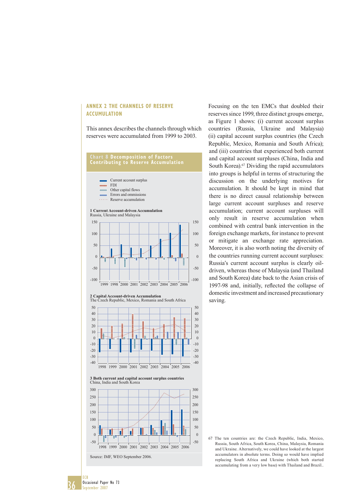#### **ANNEX 2 THE CHANNELS OF RESERVE ACCUMULATION**

This annex describes the channels through which reserves were accumulated from 1999 to 2003.

#### **Chart 8 Decomposition of Factors Contributing to Reserve Accumulation**



**2 Capital Account-driven Accumulation** The Czech Republic, Mexico, Romania and South Africa



**3 Both current and capital account surplus countries** China, India and South Korea



Source: IMF, WEO September 2006.

36

ECB

Occasional Paper No 73 September 2007

Focusing on the ten EMCs that doubled their reserves since 1999, three distinct groups emerge, as Figure 1 shows: (i) current account surplus countries (Russia, Ukraine and Malaysia) (ii) capital account surplus countries (the Czech Republic, Mexico, Romania and South Africa); and (iii) countries that experienced both current and capital account surpluses (China, India and South Korea).<sup>67</sup> Dividing the rapid accumulators into groups is helpful in terms of structuring the discussion on the underlying motives for accumulation. It should be kept in mind that there is no direct causal relationship between large current account surpluses and reserve accumulation; current account surpluses will only result in reserve accumulation when combined with central bank intervention in the foreign exchange markets, for instance to prevent or mitigate an exchange rate appreciation. Moreover, it is also worth noting the diversity of the countries running current account surpluses: Russia's current account surplus is clearly oildriven, whereas those of Malaysia (and Thailand and South Korea) date back to the Asian crisis of 1997-98 and, initially, reflected the collapse of domestic investment and increased precautionary saving.

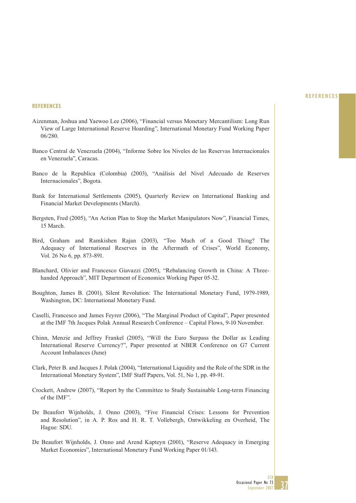#### **REFERENCES**

#### **REFERENCES**

- Aizenman, Joshua and Yaewoo Lee (2006), "Financial versus Monetary Mercantilism: Long Run View of Large International Reserve Hoarding", International Monetary Fund Working Paper 06/280.
- Banco Central de Venezuela (2004), "Informe Sobre los Niveles de las Reservas Internacionales en Venezuela", Caracas.
- Banco de la Republica (Colombia) (2003), "Análisis del Nivel Adecuado de Reserves Internacionales", Bogota.
- Bank for International Settlements (2005), Quarterly Review on International Banking and Financial Market Developments (March).
- Bergsten, Fred (2005), "An Action Plan to Stop the Market Manipulators Now", Financial Times, 15 March.
- Bird, Graham and Ramkishen Rajan (2003), "Too Much of a Good Thing? The Adequacy of International Reserves in the Aftermath of Crises", World Economy, Vol. 26 No 6, pp. 873-891.
- Blanchard, Olivier and Francesco Giavazzi (2005), "Rebalancing Growth in China: A Threehanded Approach", MIT Department of Economics Working Paper 05-32.
- Boughton, James B. (2001), Silent Revolution: The International Monetary Fund, 1979-1989, Washington, DC: International Monetary Fund.
- Caselli, Francesco and James Feyrer (2006), "The Marginal Product of Capital", Paper presented at the IMF 7th Jacques Polak Annual Research Conference – Capital Flows, 9-10 November.
- Chinn, Menzie and Jeffrey Frankel (2005), "Will the Euro Surpass the Dollar as Leading International Reserve Currency?", Paper presented at NBER Conference on G7 Current Account Imbalances (June)
- Clark, Peter B. and Jacques J. Polak (2004), "International Liquidity and the Role of the SDR in the International Monetary System", IMF Staff Papers, Vol. 51, No 1, pp. 49-91.
- Crockett, Andrew (2007), "Report by the Committee to Study Sustainable Long-term Financing of the IMF".
- De Beaufort Wijnholds, J. Onno (2003), "Five Financial Crises: Lessons for Prevention and Resolution", in A. P. Ros and H. R. T. Vollebergh, Ontwikkeling en Overheid, The Hague: SDU.
- De Beaufort Wijnholds, J. Onno and Arend Kapteyn (2001), "Reserve Adequacy in Emerging Market Economies", International Monetary Fund Working Paper 01/143.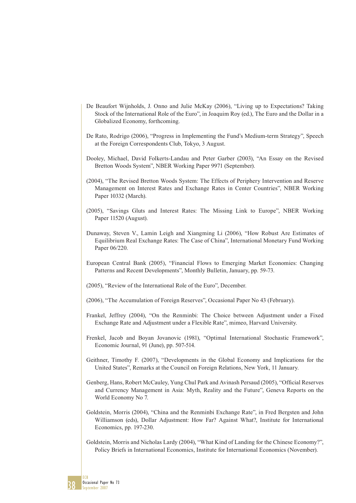- De Beaufort Wijnholds, J. Onno and Julie McKay (2006), "Living up to Expectations? Taking Stock of the International Role of the Euro", in Joaquim Roy (ed.), The Euro and the Dollar in a Globalized Economy, forthcoming.
- De Rato, Rodrigo (2006), "Progress in Implementing the Fund's Medium-term Strategy", Speech at the Foreign Correspondents Club, Tokyo, 3 August.
- Dooley, Michael, David Folkerts-Landau and Peter Garber (2003), "An Essay on the Revised Bretton Woods System", NBER Working Paper 9971 (September).
- (2004), "The Revised Bretton Woods System: The Effects of Periphery Intervention and Reserve Management on Interest Rates and Exchange Rates in Center Countries", NBER Working Paper 10332 (March).
- (2005), "Savings Gluts and Interest Rates: The Missing Link to Europe", NBER Working Paper 11520 (August).
- Dunaway, Steven V., Lamin Leigh and Xiangming Li (2006), "How Robust Are Estimates of Equilibrium Real Exchange Rates: The Case of China", International Monetary Fund Working Paper 06/220.
- European Central Bank (2005), "Financial Flows to Emerging Market Economies: Changing Patterns and Recent Developments", Monthly Bulletin, January, pp. 59-73.
- (2005), "Review of the International Role of the Euro", December.
- (2006), "The Accumulation of Foreign Reserves", Occasional Paper No 43 (February).
- Frankel, Jeffrey (2004), "On the Renminbi: The Choice between Adjustment under a Fixed Exchange Rate and Adjustment under a Flexible Rate", mimeo, Harvard University.
- Frenkel, Jacob and Boyan Jovanovic (1981), "Optimal International Stochastic Framework", Economic Journal, 91 (June), pp. 507-514.
- Geithner, Timothy F. (2007), "Developments in the Global Economy and Implications for the United States", Remarks at the Council on Foreign Relations, New York, 11 January.
- Genberg, Hans, Robert McCauley, Yung Chul Park and Avinash Persaud (2005), "Official Reserves and Currency Management in Asia: Myth, Reality and the Future", Geneva Reports on the World Economy No 7.
- Goldstein, Morris (2004), "China and the Renminbi Exchange Rate", in Fred Bergsten and John Williamson (eds), Dollar Adjustment: How Far? Against What?, Institute for International Economics, pp. 197-230.
- Goldstein, Morris and Nicholas Lardy (2004), "What Kind of Landing for the Chinese Economy?", Policy Briefs in International Economics, Institute for International Economics (November).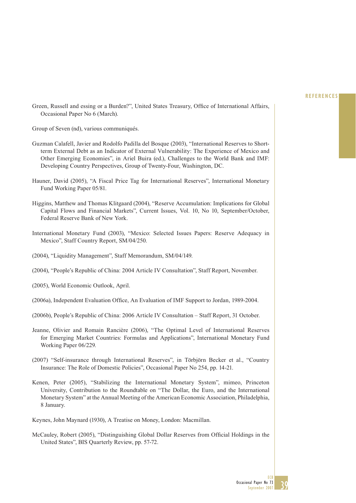#### **REFERENCES**

Green, Russell and essing or a Burden?", United States Treasury, Office of International Affairs, Occasional Paper No 6 (March).

Group of Seven (nd), various communiqués.

- Guzman Calafell, Javier and Rodolfo Padilla del Bosque (2003), "International Reserves to Shortterm External Debt as an Indicator of External Vulnerability: The Experience of Mexico and Other Emerging Economies", in Ariel Buira (ed.), Challenges to the World Bank and IMF: Developing Country Perspectives, Group of Twenty-Four, Washington, DC.
- Hauner, David (2005), "A Fiscal Price Tag for International Reserves", International Monetary Fund Working Paper 05/81.
- Higgins, Matthew and Thomas Klitgaard (2004), "Reserve Accumulation: Implications for Global Capital Flows and Financial Markets", Current Issues, Vol. 10, No 10, September/October, Federal Reserve Bank of New York.
- International Monetary Fund (2003), "Mexico: Selected Issues Papers: Reserve Adequacy in Mexico", Staff Country Report, SM/04/250.
- (2004), "Liquidity Management", Staff Memorandum, SM/04/149.
- (2004), "People's Republic of China: 2004 Article IV Consultation", Staff Report, November.
- (2005), World Economic Outlook, April.
- (2006a), Independent Evaluation Office, An Evaluation of IMF Support to Jordan, 1989-2004.
- (2006b), People's Republic of China: 2006 Article IV Consultation Staff Report, 31 October.
- Jeanne, Olivier and Romain Rancière (2006), "The Optimal Level of International Reserves for Emerging Market Countries: Formulas and Applications", International Monetary Fund Working Paper 06/229.
- (2007) "Self-insurance through International Reserves", in Törbjörn Becker et al., "Country Insurance: The Role of Domestic Policies", Occasional Paper No 254, pp. 14-21.
- Kenen, Peter (2005), "Stabilizing the International Monetary System", mimeo, Princeton University, Contribution to the Roundtable on "The Dollar, the Euro, and the International Monetary System" at the Annual Meeting of the American Economic Association, Philadelphia, 8 January.

Keynes, John Maynard (1930), A Treatise on Money, London: Macmillan.

McCauley, Robert (2005), "Distinguishing Global Dollar Reserves from Official Holdings in the United States", BIS Quarterly Review, pp. 57-72.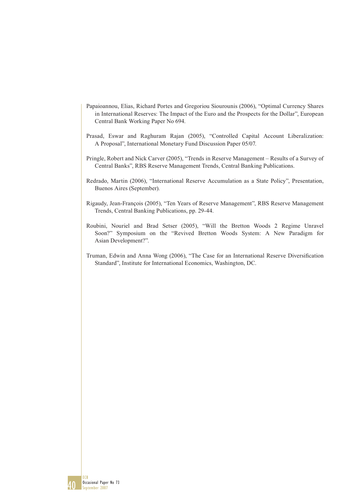- Papaioannou, Elias, Richard Portes and Gregoriou Siourounis (2006), "Optimal Currency Shares in International Reserves: The Impact of the Euro and the Prospects for the Dollar", European Central Bank Working Paper No 694.
- Prasad, Eswar and Raghuram Rajan (2005), "Controlled Capital Account Liberalization: A Proposal", International Monetary Fund Discussion Paper 05/07.
- Pringle, Robert and Nick Carver (2005), "Trends in Reserve Management Results of a Survey of Central Banks", RBS Reserve Management Trends, Central Banking Publications.
- Redrado, Martin (2006), "International Reserve Accumulation as a State Policy", Presentation, Buenos Aires (September).
- Rigaudy, Jean-François (2005), "Ten Years of Reserve Management", RBS Reserve Management Trends, Central Banking Publications, pp. 29-44.
- Roubini, Nouriel and Brad Setser (2005), "Will the Bretton Woods 2 Regime Unravel Soon?" Symposium on the "Revived Bretton Woods System: A New Paradigm for Asian Development?".
- Truman, Edwin and Anna Wong (2006), "The Case for an International Reserve Diversification Standard", Institute for International Economics, Washington, DC.

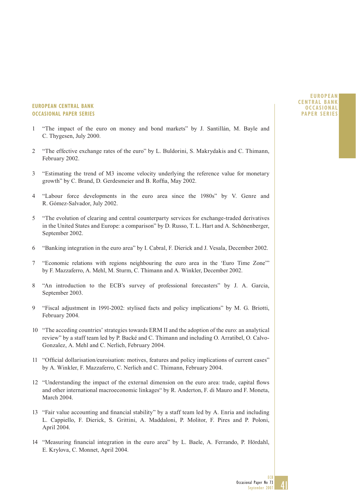#### **EUROPEAN CENTRAL BANK OCCASIONAL PAPER SERIES**

- "The impact of the euro on money and bond markets" by J. Santillán, M. Bayle and C. Thygesen, July 2000.
- 2 "The effective exchange rates of the euro" by L. Buldorini, S. Makrydakis and C. Thimann, February 2002.
- 3 "Estimating the trend of M3 income velocity underlying the reference value for monetary growth" by C. Brand, D. Gerdesmeier and B. Roffia, May 2002.
- 4 "Labour force developments in the euro area since the 1980s" by V. Genre and R. Gómez-Salvador, July 2002.
- 5 "The evolution of clearing and central counterparty services for exchange-traded derivatives in the United States and Europe: a comparison" by D. Russo, T. L. Hart and A. Schönenberger, September 2002.
- 6 "Banking integration in the euro area" by I. Cabral, F. Dierick and J. Vesala, December 2002.
- 7 "Economic relations with regions neighbouring the euro area in the 'Euro Time Zone'" by F. Mazzaferro, A. Mehl, M. Sturm, C. Thimann and A. Winkler, December 2002.
- 8 "An introduction to the ECB's survey of professional forecasters" by J. A. Garcia, September 2003.
- 9 "Fiscal adjustment in 1991-2002: stylised facts and policy implications" by M. G. Briotti, February 2004.
- 10 "The acceding countries' strategies towards ERM II and the adoption of the euro: an analytical review" by a staff team led by P. Backé and C. Thimann and including O. Arratibel, O. Calvo-Gonzalez, A. Mehl and C. Nerlich, February 2004.
- 11 "Official dollarisation/euroisation: motives, features and policy implications of current cases" by A. Winkler, F. Mazzaferro, C. Nerlich and C. Thimann, February 2004.
- 12 "Understanding the impact of the external dimension on the euro area: trade, capital flows and other international macroeconomic linkages" by R. Anderton, F. di Mauro and F. Moneta, March 2004.
- 13 "Fair value accounting and financial stability" by a staff team led by A. Enria and including L. Cappiello, F. Dierick, S. Grittini, A. Maddaloni, P. Molitor, F. Pires and P. Poloni, April 2004.
- 14 "Measuring financial integration in the euro area" by L. Baele, A. Ferrando, P. Hördahl, E. Krylova, C. Monnet, April 2004.

#### **EUROPEAN CENTRAL BANK OCCASIONAL PAPER SERIES**

41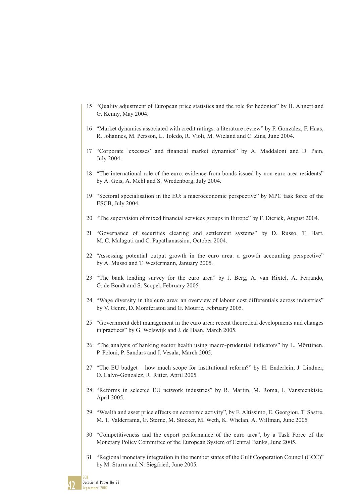- 15 "Quality adjustment of European price statistics and the role for hedonics" by H. Ahnert and G. Kenny, May 2004.
- 16 "Market dynamics associated with credit ratings: a literature review" by F. Gonzalez, F. Haas, R. Johannes, M. Persson, L. Toledo, R. Violi, M. Wieland and C. Zins, June 2004.
- 17 "Corporate 'excesses' and financial market dynamics" by A. Maddaloni and D. Pain, July 2004.
- 18 "The international role of the euro: evidence from bonds issued by non-euro area residents" by A. Geis, A. Mehl and S. Wredenborg, July 2004.
- 19 "Sectoral specialisation in the EU: a macroeconomic perspective" by MPC task force of the ESCB, July 2004.
- 20 "The supervision of mixed financial services groups in Europe" by F. Dierick, August 2004.
- 21 "Governance of securities clearing and settlement systems" by D. Russo, T. Hart, M. C. Malaguti and C. Papathanassiou, October 2004.
- 22 "Assessing potential output growth in the euro area: a growth accounting perspective" by A. Musso and T. Westermann, January 2005.
- 23 "The bank lending survey for the euro area" by J. Berg, A. van Rixtel, A. Ferrando, G. de Bondt and S. Scopel, February 2005.
- 24 "Wage diversity in the euro area: an overview of labour cost differentials across industries" by V. Genre, D. Momferatou and G. Mourre, February 2005.
- 25 "Government debt management in the euro area: recent theoretical developments and changes in practices" by G. Wolswijk and J. de Haan, March 2005.
- 26 "The analysis of banking sector health using macro-prudential indicators" by L. Mörttinen, P. Poloni, P. Sandars and J. Vesala, March 2005.
- 27 "The EU budget how much scope for institutional reform?" by H. Enderlein, J. Lindner, O. Calvo-Gonzalez, R. Ritter, April 2005.
- 28 "Reforms in selected EU network industries" by R. Martin, M. Roma, I. Vansteenkiste, April 2005.
- 29 "Wealth and asset price effects on economic activity", by F. Altissimo, E. Georgiou, T. Sastre, M. T. Valderrama, G. Sterne, M. Stocker, M. Weth, K. Whelan, A. Willman, June 2005.
- 30 "Competitiveness and the export performance of the euro area", by a Task Force of the Monetary Policy Committee of the European System of Central Banks, June 2005.
- 31 "Regional monetary integration in the member states of the Gulf Cooperation Council (GCC)" by M. Sturm and N. Siegfried, June 2005.

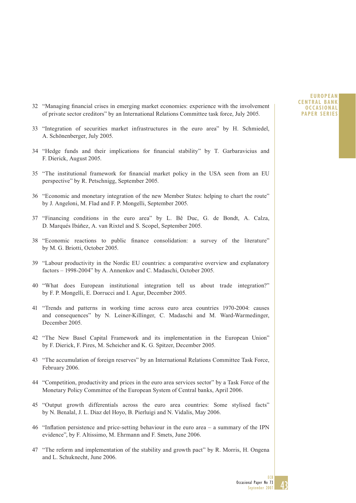- 32 "Managing financial crises in emerging market economies: experience with the involvement of private sector creditors" by an International Relations Committee task force, July 2005.
- 33 "Integration of securities market infrastructures in the euro area" by H. Schmiedel, A. Schönenberger, July 2005.
- 34 "Hedge funds and their implications for financial stability" by T. Garbaravicius and F. Dierick, August 2005.
- 35 "The institutional framework for financial market policy in the USA seen from an EU perspective" by R. Petschnigg, September 2005.
- 36 "Economic and monetary integration of the new Member States: helping to chart the route" by J. Angeloni, M. Flad and F. P. Mongelli, September 2005.
- 37 "Financing conditions in the euro area" by L. Bê Duc, G. de Bondt, A. Calza, D. Marqués Ibáñez, A. van Rixtel and S. Scopel, September 2005.
- 38 "Economic reactions to public finance consolidation: a survey of the literature" by M. G. Briotti, October 2005.
- 39 "Labour productivity in the Nordic EU countries: a comparative overview and explanatory factors – 1998-2004" by A. Annenkov and C. Madaschi, October 2005.
- 40 "What does European institutional integration tell us about trade integration?" by F. P. Mongelli, E. Dorrucci and I. Agur, December 2005.
- 41 "Trends and patterns in working time across euro area countries 1970-2004: causes and consequences" by N. Leiner-Killinger, C. Madaschi and M. Ward-Warmedinger, December 2005.
- 42 "The New Basel Capital Framework and its implementation in the European Union" by F. Dierick, F. Pires, M. Scheicher and K. G. Spitzer, December 2005.
- 43 "The accumulation of foreign reserves" by an International Relations Committee Task Force, February 2006.
- 44 "Competition, productivity and prices in the euro area services sector" by a Task Force of the Monetary Policy Committee of the European System of Central banks, April 2006.
- 45 "Output growth differentials across the euro area countries: Some stylised facts" by N. Benalal, J. L. Diaz del Hoyo, B. Pierluigi and N. Vidalis, May 2006.
- 46 "Inflation persistence and price-setting behaviour in the euro area  $-$  a summary of the IPN evidence", by F. Altissimo, M. Ehrmann and F. Smets, June 2006.
- 47 "The reform and implementation of the stability and growth pact" by R. Morris, H. Ongena and L. Schuknecht, June 2006.

#### **EUROPEAN CENTRAL BANK OCCASIONAL PAPER SERIES**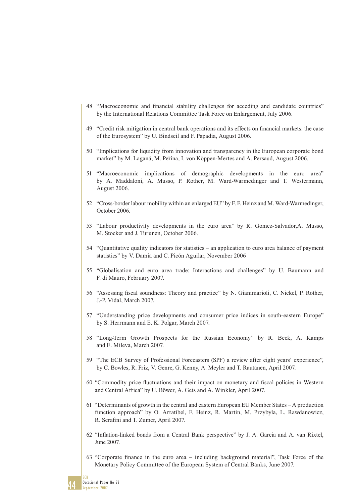- 48 "Macroeconomic and financial stability challenges for acceding and candidate countries" by the International Relations Committee Task Force on Enlargement, July 2006.
- 49 "Credit risk mitigation in central bank operations and its effects on financial markets: the case of the Eurosystem" by U. Bindseil and F. Papadia, August 2006.
- 50 "Implications for liquidity from innovation and transparency in the European corporate bond market" by M. Laganá, M. Perina, I. von Köppen-Mertes and A. Persaud, August 2006.
- 51 "Macroeconomic implications of demographic developments in the euro area" by A. Maddaloni, A. Musso, P. Rother, M. Ward-Warmedinger and T. Westermann, August 2006.
- 52 "Cross-border labour mobility within an enlarged EU" by F. F. Heinz and M. Ward-Warmedinger, October 2006.
- 53 "Labour productivity developments in the euro area" by R. Gomez-Salvador,A. Musso, M. Stocker and J. Turunen, October 2006.
- 54 "Quantitative quality indicators for statistics an application to euro area balance of payment statistics" by V. Damia and C. Picón Aguilar, November 2006
- 55 "Globalisation and euro area trade: Interactions and challenges" by U. Baumann and F. di Mauro, February 2007.
- 56 "Assessing fiscal soundness: Theory and practice" by N. Giammarioli, C. Nickel, P. Rother, J.-P. Vidal, March 2007.
- 57 "Understanding price developments and consumer price indices in south-eastern Europe" by S. Herrmann and E. K. Polgar, March 2007.
- 58 "Long-Term Growth Prospects for the Russian Economy" by R. Beck, A. Kamps and E. Mileva, March 2007.
- 59 "The ECB Survey of Professional Forecasters (SPF) a review after eight years' experience", by C. Bowles, R. Friz, V. Genre, G. Kenny, A. Meyler and T. Rautanen, April 2007.
- 60 "Commodity price fluctuations and their impact on monetary and fiscal policies in Western and Central Africa" by U. Böwer, A. Geis and A. Winkler, April 2007.
- 61 "Determinants of growth in the central and eastern European EU Member States A production function approach" by O. Arratibel, F. Heinz, R. Martin, M. Przybyla, L. Rawdanowicz, R. Serafini and T. Zumer, April 2007.
- 62 "Inflation-linked bonds from a Central Bank perspective" by J. A. Garcia and A. van Rixtel, June 2007.
- 63 "Corporate finance in the euro area including background material", Task Force of the Monetary Policy Committee of the European System of Central Banks, June 2007.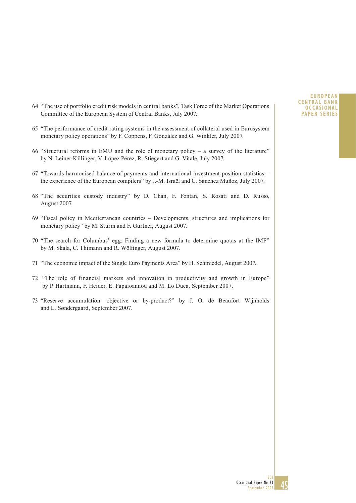- 64 "The use of portfolio credit risk models in central banks", Task Force of the Market Operations Committee of the European System of Central Banks, July 2007.
- 65 "The performance of credit rating systems in the assessment of collateral used in Eurosystem monetary policy operations" by F. Coppens, F. González and G. Winkler, July 2007.
- 66 "Structural reforms in EMU and the role of monetary policy a survey of the literature" by N. Leiner-Killinger, V. López Pérez, R. Stiegert and G. Vitale, July 2007.
- 67 "Towards harmonised balance of payments and international investment position statistics the experience of the European compilers" by J.-M. Israël and C. Sánchez Muñoz, July 2007.
- 68 "The securities custody industry" by D. Chan, F. Fontan, S. Rosati and D. Russo, August 2007.
- 69 "Fiscal policy in Mediterranean countries Developments, structures and implications for monetary policy" by M. Sturm and F. Gurtner, August 2007.
- 70 "The search for Columbus' egg: Finding a new formula to determine quotas at the IMF" by M. Skala, C. Thimann and R. Wölfinger, August 2007.
- 71 "The economic impact of the Single Euro Payments Area" by H. Schmiedel, August 2007.
- 72 "The role of financial markets and innovation in productivity and growth in Europe" by P. Hartmann, F. Heider, E. Papaioannou and M. Lo Duca, September 2007.
- and L. Søndergaard, September 2007. 73 "Reserve accumulation: objective or by-product?" by J. O. de Beaufort Wijnholds

#### **EUROPEAN CENTRAL BANK OCCASIONAL PAPER SERIES**